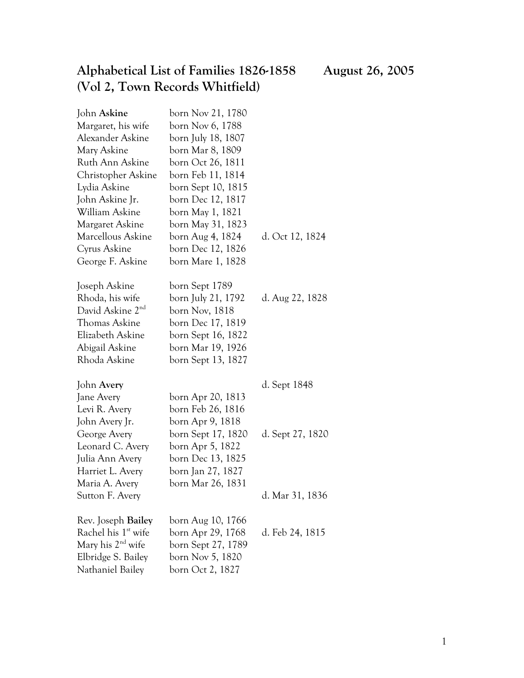## **Alphabetical List of Families 1826-1858 August 26, 2005 (Vol 2, Town Records Whitfield)**

| John Askine                     | born Nov 21, 1780  |                  |
|---------------------------------|--------------------|------------------|
| Margaret, his wife              | born Nov 6, 1788   |                  |
| Alexander Askine                | born July 18, 1807 |                  |
| Mary Askine                     | born Mar 8, 1809   |                  |
| Ruth Ann Askine                 | born Oct 26, 1811  |                  |
| Christopher Askine              | born Feb 11, 1814  |                  |
| Lydia Askine                    | born Sept 10, 1815 |                  |
| John Askine Jr.                 | born Dec 12, 1817  |                  |
| William Askine                  | born May 1, 1821   |                  |
| Margaret Askine                 | born May 31, 1823  |                  |
| Marcellous Askine               | born Aug 4, 1824   | d. Oct 12, 1824  |
| Cyrus Askine                    | born Dec 12, 1826  |                  |
| George F. Askine                | born Mare 1, 1828  |                  |
| Joseph Askine                   | born Sept 1789     |                  |
| Rhoda, his wife                 | born July 21, 1792 | d. Aug 22, 1828  |
| David Askine 2 <sup>nd</sup>    | born Nov, 1818     |                  |
| Thomas Askine                   | born Dec 17, 1819  |                  |
| Elizabeth Askine                | born Sept 16, 1822 |                  |
| Abigail Askine                  | born Mar 19, 1926  |                  |
| Rhoda Askine                    | born Sept 13, 1827 |                  |
| John Avery                      |                    | d. Sept 1848     |
| Jane Avery                      | born Apr 20, 1813  |                  |
| Levi R. Avery                   | born Feb 26, 1816  |                  |
| John Avery Jr.                  | born Apr 9, 1818   |                  |
| George Avery                    | born Sept 17, 1820 | d. Sept 27, 1820 |
| Leonard C. Avery                | born Apr 5, 1822   |                  |
| Julia Ann Avery                 | born Dec 13, 1825  |                  |
| Harriet L. Avery                | born Jan 27, 1827  |                  |
| Maria A. Avery                  | born Mar 26, 1831  |                  |
| Sutton F. Avery                 |                    | d. Mar 31, 1836  |
| Rev. Joseph Bailey              | born Aug 10, 1766  |                  |
| Rachel his 1 <sup>st</sup> wife | born Apr 29, 1768  | d. Feb 24, 1815  |
| Mary his 2 <sup>nd</sup> wife   | born Sept 27, 1789 |                  |
| Elbridge S. Bailey              | born Nov 5, 1820   |                  |
| Nathaniel Bailey                | born Oct 2, 1827   |                  |
|                                 |                    |                  |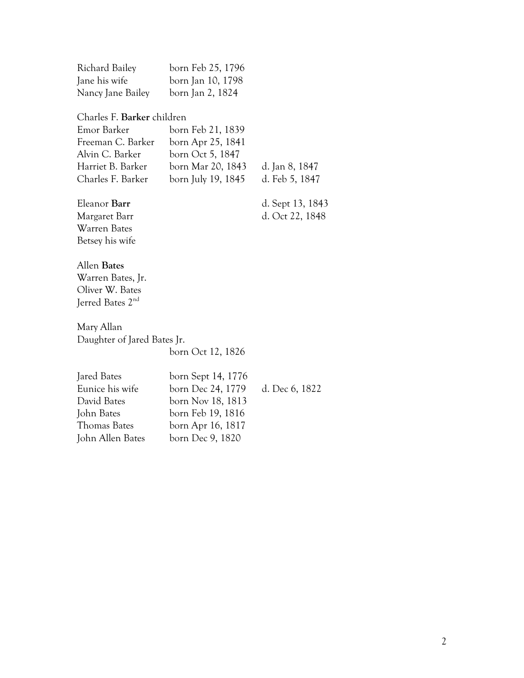| Richard Bailey    | born Feb 25, 1796 |
|-------------------|-------------------|
| Jane his wife     | born Jan 10, 1798 |
| Nancy Jane Bailey | born Jan 2, 1824  |

#### Charles F. **Barker** children

| Emor Barker       | born Feb 21, 1839  |                |
|-------------------|--------------------|----------------|
| Freeman C. Barker | born Apr 25, 1841  |                |
| Alvin C. Barker   | born Oct 5, 1847   |                |
| Harriet B. Barker | born Mar 20, 1843  | d. Jan 8, 1847 |
| Charles F. Barker | born July 19, 1845 | d. Feb 5, 1847 |
|                   |                    |                |

#### Eleanor **Barr** d. Sept 13, 1843 Margaret Barr d. Oct 22, 1848 Warren Bates Betsey his wife

#### Allen **Bates**

Warren Bates, Jr. Oliver W. Bates Jerred Bates 2nd

Mary Allan Daughter of Jared Bates Jr. born Oct 12, 1826

| Jared Bates      | born Sept 14, 1776 |                |
|------------------|--------------------|----------------|
| Eunice his wife  | born Dec 24, 1779  | d. Dec 6, 1822 |
| David Bates      | born Nov 18, 1813  |                |
| John Bates       | born Feb 19, 1816  |                |
| Thomas Bates     | born Apr 16, 1817  |                |
| John Allen Bates | born Dec 9, 1820   |                |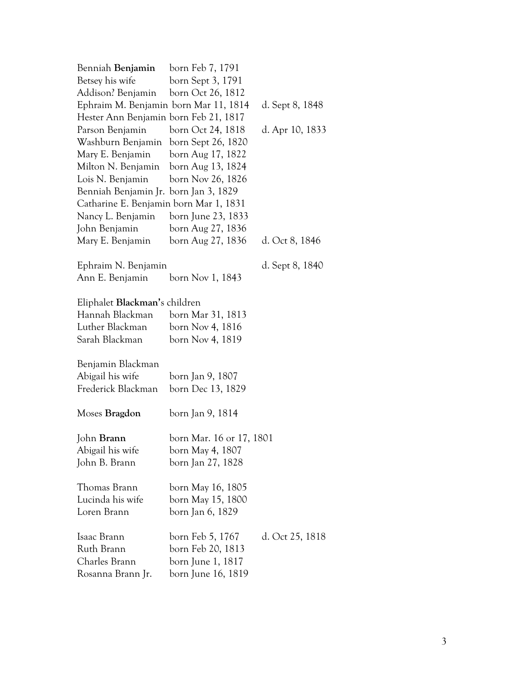| Benniah <b>Benjamin</b>                | born Feb 7, 1791         |                 |
|----------------------------------------|--------------------------|-----------------|
| Betsey his wife                        | born Sept 3, 1791        |                 |
| Addison? Benjamin born Oct 26, 1812    |                          |                 |
| Ephraim M. Benjamin born Mar 11, 1814  |                          | d. Sept 8, 1848 |
| Hester Ann Benjamin born Feb 21, 1817  |                          |                 |
| Parson Benjamin                        | born Oct 24, 1818        | d. Apr 10, 1833 |
| Washburn Benjamin born Sept 26, 1820   |                          |                 |
| Mary E. Benjamin born Aug 17, 1822     |                          |                 |
| Milton N. Benjamin born Aug 13, 1824   |                          |                 |
| Lois N. Benjamin born Nov 26, 1826     |                          |                 |
| Benniah Benjamin Jr. born Jan 3, 1829  |                          |                 |
| Catharine E. Benjamin born Mar 1, 1831 |                          |                 |
| Nancy L. Benjamin                      | born June 23, 1833       |                 |
| John Benjamin                          | born Aug 27, 1836        |                 |
| Mary E. Benjamin                       | born Aug 27, 1836        | d. Oct 8, 1846  |
| Ephraim N. Benjamin                    |                          | d. Sept 8, 1840 |
| Ann E. Benjamin                        | born Nov 1, 1843         |                 |
| Eliphalet Blackman's children          |                          |                 |
| Hannah Blackman born Mar 31, 1813      |                          |                 |
| Luther Blackman                        | born Nov 4, 1816         |                 |
| Sarah Blackman                         | born Nov 4, 1819         |                 |
| Benjamin Blackman                      |                          |                 |
| Abigail his wife                       | born Jan 9, 1807         |                 |
| Frederick Blackman                     | born Dec 13, 1829        |                 |
| Moses Bragdon                          | born Jan 9, 1814         |                 |
| John Brann                             | born Mar. 16 or 17, 1801 |                 |
| Abigail his wife                       | born May 4, 1807         |                 |
| John B. Brann                          | born Jan 27, 1828        |                 |
| Thomas Brann                           | born May 16, 1805        |                 |
| Lucinda his wife                       | born May 15, 1800        |                 |
| Loren Brann                            | born Jan 6, 1829         |                 |
| Isaac Brann                            | born Feb 5, 1767         | d. Oct 25, 1818 |
| Ruth Brann                             | born Feb 20, 1813        |                 |
| Charles Brann                          | born June 1, 1817        |                 |
| Rosanna Brann Jr.                      | born June 16, 1819       |                 |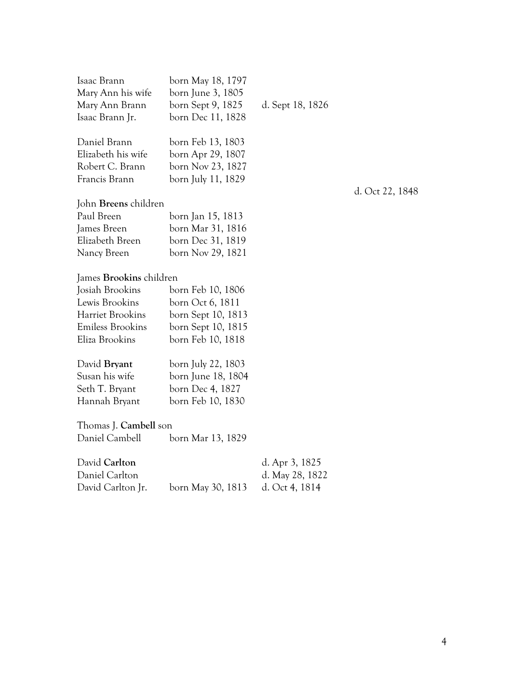| Isaac Brann<br>Mary Ann his wife<br>Mary Ann Brann<br>Isaac Brann Jr.                                                                | born May 18, 1797<br>born June 3, 1805<br>born Sept 9, 1825<br>born Dec 11, 1828                       | d. Sept 18, 1826                                    |                 |
|--------------------------------------------------------------------------------------------------------------------------------------|--------------------------------------------------------------------------------------------------------|-----------------------------------------------------|-----------------|
| Daniel Brann<br>Elizabeth his wife<br>Robert C. Brann<br>Francis Brann                                                               | born Feb 13, 1803<br>born Apr 29, 1807<br>born Nov 23, 1827<br>born July 11, 1829                      |                                                     | d. Oct 22, 1848 |
| John <b>Breens</b> children<br>Paul Breen<br>James Breen<br>Elizabeth Breen<br>Nancy Breen                                           | born Jan 15, 1813<br>born Mar 31, 1816<br>born Dec 31, 1819<br>born Nov 29, 1821                       |                                                     |                 |
| James <b>Brookins</b> children<br>Josiah Brookins<br>Lewis Brookins<br>Harriet Brookins<br><b>Emiless Brookins</b><br>Eliza Brookins | born Feb 10, 1806<br>born Oct 6, 1811<br>born Sept 10, 1813<br>born Sept 10, 1815<br>born Feb 10, 1818 |                                                     |                 |
| David Bryant<br>Susan his wife<br>Seth T. Bryant<br>Hannah Bryant                                                                    | born July 22, 1803<br>born June 18, 1804<br>born Dec 4, 1827<br>born Feb 10, 1830                      |                                                     |                 |
| Thomas J. Cambell son<br>Daniel Cambell                                                                                              | born Mar 13, 1829                                                                                      |                                                     |                 |
| David Carlton<br>Daniel Carlton<br>David Carlton Jr.                                                                                 | born May 30, 1813                                                                                      | d. Apr 3, 1825<br>d. May 28, 1822<br>d. Oct 4, 1814 |                 |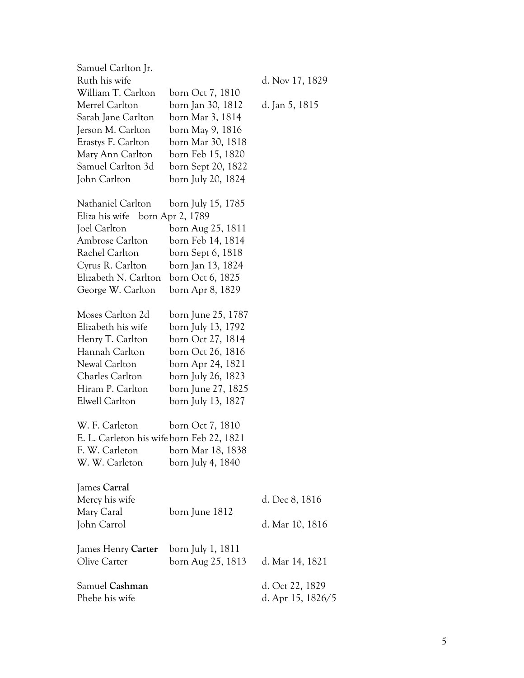| Samuel Carlton Jr.<br>Ruth his wife<br>William T. Carlton<br>Merrel Carlton<br>Sarah Jane Carlton<br>Jerson M. Carlton<br>Erastys F. Carlton<br>Mary Ann Carlton<br>Samuel Carlton 3d<br>John Carlton | born Oct 7, 1810<br>born Jan 30, 1812<br>born Mar 3, 1814<br>born May 9, 1816<br>born Mar 30, 1818<br>born Feb 15, 1820<br>born Sept 20, 1822<br>born July 20, 1824       | d. Nov 17, 1829<br>d. Jan 5, 1815    |
|-------------------------------------------------------------------------------------------------------------------------------------------------------------------------------------------------------|---------------------------------------------------------------------------------------------------------------------------------------------------------------------------|--------------------------------------|
| Nathaniel Carlton<br>Eliza his wife born Apr 2, 1789<br>Joel Carlton<br>Ambrose Carlton<br>Rachel Carlton<br>Cyrus R. Carlton<br>Elizabeth N. Carlton<br>George W. Carlton                            | born July 15, 1785<br>born Aug 25, 1811<br>born Feb 14, 1814<br>born Sept 6, 1818<br>born Jan 13, 1824<br>born Oct 6, 1825<br>born Apr 8, 1829                            |                                      |
| Moses Carlton 2d<br>Elizabeth his wife<br>Henry T. Carlton<br>Hannah Carlton<br>Newal Carlton<br>Charles Carlton<br>Hiram P. Carlton<br>Elwell Carlton                                                | born June 25, 1787<br>born July 13, 1792<br>born Oct 27, 1814<br>born Oct 26, 1816<br>born Apr 24, 1821<br>born July 26, 1823<br>born June 27, 1825<br>born July 13, 1827 |                                      |
| W. F. Carleton<br>E. L. Carleton his wife born Feb 22, 1821<br>F. W. Carleton<br>W. W. Carleton                                                                                                       | born Oct 7, 1810<br>born Mar 18, 1838<br>born July 4, 1840                                                                                                                |                                      |
| James Carral<br>Mercy his wife<br>Mary Caral<br>John Carrol                                                                                                                                           | born June 1812                                                                                                                                                            | d. Dec 8, 1816<br>d. Mar 10, 1816    |
| James Henry Carter<br>Olive Carter                                                                                                                                                                    | born July 1, 1811<br>born Aug 25, 1813                                                                                                                                    | d. Mar 14, 1821                      |
| Samuel Cashman<br>Phebe his wife                                                                                                                                                                      |                                                                                                                                                                           | d. Oct 22, 1829<br>d. Apr 15, 1826/5 |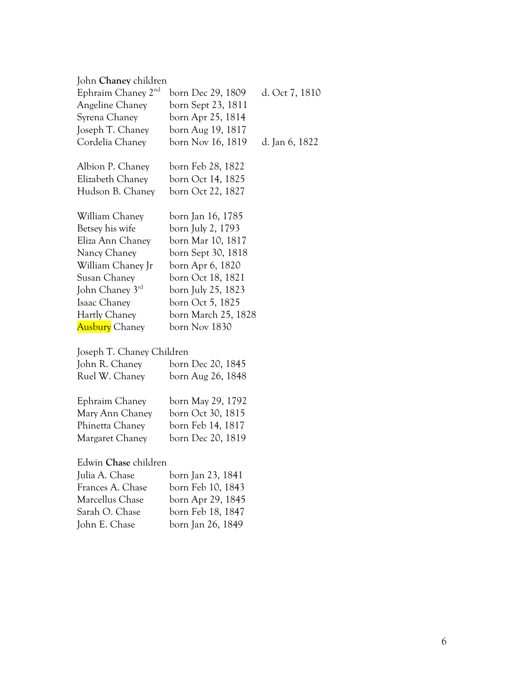| John <b>Chaney</b> children    |                     |                |
|--------------------------------|---------------------|----------------|
| Ephraim Chaney 2 <sup>nd</sup> | born Dec 29, 1809   | d. Oct 7, 1810 |
| Angeline Chaney                | born Sept 23, 1811  |                |
| Syrena Chaney                  | born Apr 25, 1814   |                |
| Joseph T. Chaney               | born Aug 19, 1817   |                |
| Cordelia Chaney                | born Nov 16, 1819   | d. Jan 6, 1822 |
| Albion P. Chaney               | born Feb 28, 1822   |                |
| Elizabeth Chaney               | born Oct 14, 1825   |                |
| Hudson B. Chaney               | born Oct 22, 1827   |                |
| William Chaney                 | born Jan 16, 1785   |                |
| Betsey his wife                | born July 2, 1793   |                |
| Eliza Ann Chaney               | born Mar 10, 1817   |                |
| Nancy Chaney                   | born Sept 30, 1818  |                |
| William Chaney Jr              | born Apr 6, 1820    |                |
| Susan Chaney                   | born Oct 18, 1821   |                |
| John Chaney 3rd                | born July 25, 1823  |                |
| Isaac Chaney                   | born Oct 5, 1825    |                |
| Hartly Chaney                  | born March 25, 1828 |                |
| <b>Ausbury</b> Chaney          | born Nov 1830       |                |
|                                |                     |                |

### Joseph T. Chaney Children

| John R. Chaney | born Dec 20, 1845 |
|----------------|-------------------|
| Ruel W. Chaney | born Aug 26, 1848 |
| Ephraim Chaney | born May 29, 1792 |

| born Oct 30, 1815 |
|-------------------|
| born Feb 14, 1817 |
| born Dec 20, 1819 |
|                   |

#### Edwin **Chase** children

| born Jan 23, 1841 |
|-------------------|
| born Feb 10, 1843 |
| born Apr 29, 1845 |
| born Feb 18, 1847 |
| born Jan 26, 1849 |
|                   |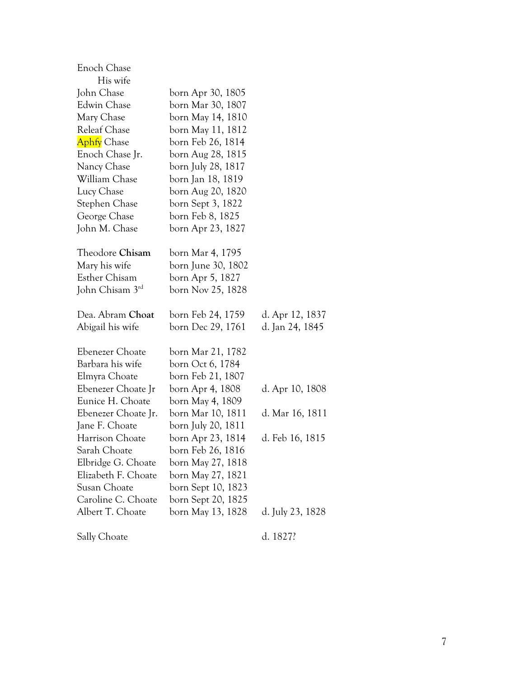| Enoch Chase         |                    |                  |
|---------------------|--------------------|------------------|
| His wife            |                    |                  |
| John Chase          | born Apr 30, 1805  |                  |
| Edwin Chase         | born Mar 30, 1807  |                  |
| Mary Chase          | born May 14, 1810  |                  |
| <b>Releaf Chase</b> | born May 11, 1812  |                  |
| <b>Aphfy</b> Chase  | born Feb 26, 1814  |                  |
| Enoch Chase Jr.     | born Aug 28, 1815  |                  |
| Nancy Chase         | born July 28, 1817 |                  |
| William Chase       | born Jan 18, 1819  |                  |
| Lucy Chase          | born Aug 20, 1820  |                  |
| Stephen Chase       | born Sept 3, 1822  |                  |
| George Chase        | born Feb 8, 1825   |                  |
| John M. Chase       | born Apr 23, 1827  |                  |
| Theodore Chisam     | born Mar 4, 1795   |                  |
| Mary his wife       | born June 30, 1802 |                  |
| Esther Chisam       | born Apr 5, 1827   |                  |
| John Chisam 3rd     | born Nov 25, 1828  |                  |
| Dea. Abram Choat    | born Feb 24, 1759  | d. Apr 12, 1837  |
| Abigail his wife    | born Dec 29, 1761  | d. Jan 24, 1845  |
| Ebenezer Choate     | born Mar 21, 1782  |                  |
| Barbara his wife    | born Oct 6, 1784   |                  |
| Elmyra Choate       | born Feb 21, 1807  |                  |
| Ebenezer Choate Jr  | born Apr 4, 1808   | d. Apr 10, 1808  |
| Eunice H. Choate    | born May 4, 1809   |                  |
| Ebenezer Choate Jr. | born Mar 10, 1811  | d. Mar 16, 1811  |
| Jane F. Choate      | born July 20, 1811 |                  |
| Harrison Choate     | born Apr 23, 1814  | d. Feb 16, 1815  |
| Sarah Choate        | born Feb 26, 1816  |                  |
| Elbridge G. Choate  | born May 27, 1818  |                  |
| Elizabeth F. Choate | born May 27, 1821  |                  |
| Susan Choate        | born Sept 10, 1823 |                  |
| Caroline C. Choate  | born Sept 20, 1825 |                  |
| Albert T. Choate    | born May 13, 1828  | d. July 23, 1828 |
| Sally Choate        |                    | d. 1827?         |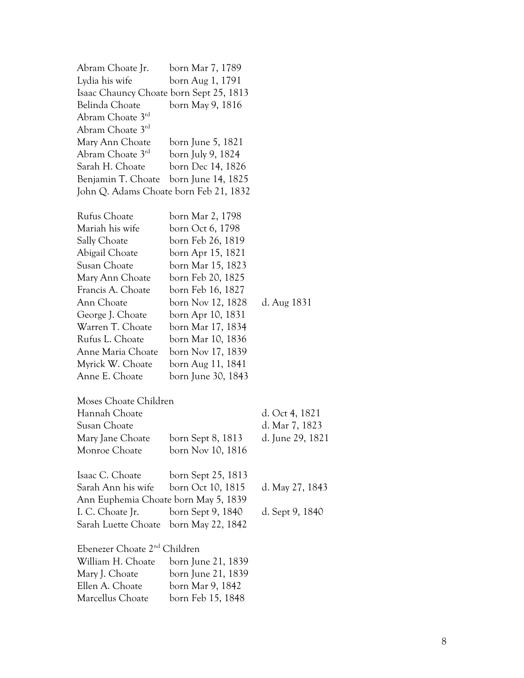| Abram Choate Jr.                         | born Mar 7, 1789   |                  |
|------------------------------------------|--------------------|------------------|
| Lydia his wife                           | born Aug 1, 1791   |                  |
| Isaac Chauncy Choate born Sept 25, 1813  |                    |                  |
| Belinda Choate                           | born May 9, 1816   |                  |
| Abram Choate 3rd                         |                    |                  |
| Abram Choate 3 <sup>rd</sup>             |                    |                  |
| Mary Ann Choate                          | born June 5, 1821  |                  |
| Abram Choate 3 <sup>rd</sup>             | born July 9, 1824  |                  |
| Sarah H. Choate                          | born Dec 14, 1826  |                  |
| Benjamin T. Choate                       | born June 14, 1825 |                  |
| John Q. Adams Choate born Feb 21, 1832   |                    |                  |
| Rufus Choate                             | born Mar 2, 1798   |                  |
| Mariah his wife                          | born Oct 6, 1798   |                  |
| Sally Choate                             | born Feb 26, 1819  |                  |
| Abigail Choate                           | born Apr 15, 1821  |                  |
| Susan Choate                             | born Mar 15, 1823  |                  |
| Mary Ann Choate                          | born Feb 20, 1825  |                  |
| Francis A. Choate                        | born Feb 16, 1827  |                  |
| Ann Choate                               | born Nov 12, 1828  | d. Aug 1831      |
| George J. Choate                         | born Apr 10, 1831  |                  |
| Warren T. Choate                         | born Mar 17, 1834  |                  |
| Rufus L. Choate                          | born Mar 10, 1836  |                  |
| Anne Maria Choate                        | born Nov 17, 1839  |                  |
| Myrick W. Choate                         | born Aug 11, 1841  |                  |
| Anne E. Choate                           | born June 30, 1843 |                  |
| Moses Choate Children                    |                    |                  |
| Hannah Choate                            |                    | d. Oct 4, 1821   |
| Susan Choate                             |                    | d. Mar 7, 1823   |
| Mary Jane Choate                         | born Sept 8, 1813  | d. June 29, 1821 |
| Monroe Choate                            | born Nov 10, 1816  |                  |
| Isaac C. Choate                          | born Sept 25, 1813 |                  |
| Sarah Ann his wife                       | born Oct 10, 1815  | d. May 27, 1843  |
| Ann Euphemia Choate born May 5, 1839     |                    |                  |
| I. C. Choate Jr.                         | born Sept 9, 1840  | d. Sept 9, 1840  |
| Sarah Luette Choate                      | born May 22, 1842  |                  |
| Ebenezer Choate 2 <sup>nd</sup> Children |                    |                  |
| William H. Choate                        | born June 21, 1839 |                  |
| Mary J. Choate                           | born June 21, 1839 |                  |
| Ellen A. Choate                          | born Mar 9, 1842   |                  |
| Marcellus Choate                         | born Feb 15, 1848  |                  |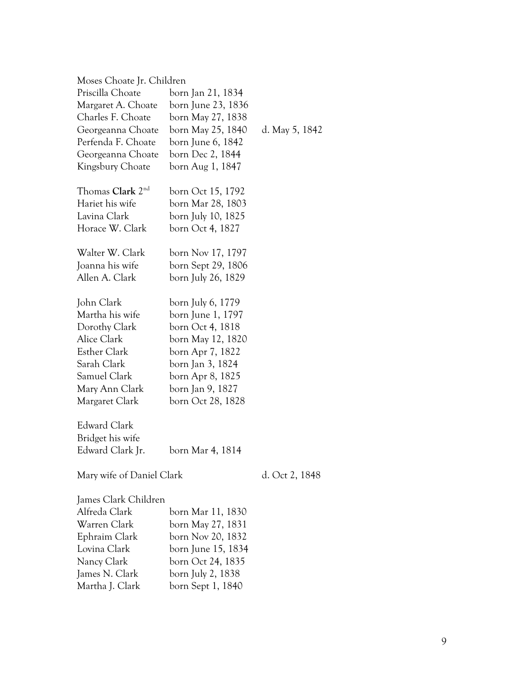| Moses Choate Jr. Children    |                    |                |
|------------------------------|--------------------|----------------|
| Priscilla Choate             | born Jan 21, 1834  |                |
| Margaret A. Choate           | born June 23, 1836 |                |
| Charles F. Choate            | born May 27, 1838  |                |
| Georgeanna Choate            | born May 25, 1840  | d. May 5, 1842 |
| Perfenda F. Choate           | born June 6, 1842  |                |
| Georgeanna Choate            | born Dec 2, 1844   |                |
| Kingsbury Choate             | born Aug 1, 1847   |                |
| Thomas Clark 2 <sup>nd</sup> | born Oct 15, 1792  |                |
| Hariet his wife              | born Mar 28, 1803  |                |
| Lavina Clark                 | born July 10, 1825 |                |
| Horace W. Clark              | born Oct 4, 1827   |                |
| Walter W. Clark              | born Nov 17, 1797  |                |
| Joanna his wife              | born Sept 29, 1806 |                |
| Allen A. Clark               | born July 26, 1829 |                |
| John Clark                   | born July 6, 1779  |                |
| Martha his wife              | born June 1, 1797  |                |
| Dorothy Clark                | born Oct 4, 1818   |                |
| Alice Clark                  | born May 12, 1820  |                |
| Esther Clark                 | born Apr 7, 1822   |                |
| Sarah Clark                  | born Jan 3, 1824   |                |
| Samuel Clark                 | born Apr 8, 1825   |                |
| Mary Ann Clark               | born Jan 9, 1827   |                |
| Margaret Clark               | born Oct 28, 1828  |                |
| <b>Edward Clark</b>          |                    |                |
| Bridget his wife             |                    |                |
| Edward Clark Jr.             | born Mar 4, 1814   |                |
| Mary wife of Daniel Clark    |                    | d. Oct 2, 1848 |
| James Clark Children         |                    |                |
| Alfreda Clark                | born Mar 11, 1830  |                |
| Warren Clark                 | born May 27, 1831  |                |
| Ephraim Clark                | born Nov 20, 1832  |                |
| Lovina Clark                 | born June 15, 1834 |                |
| Nancy Clark                  | born Oct 24, 1835  |                |
| James N. Clark               | born July 2, 1838  |                |
| Martha J. Clark              | born Sept 1, 1840  |                |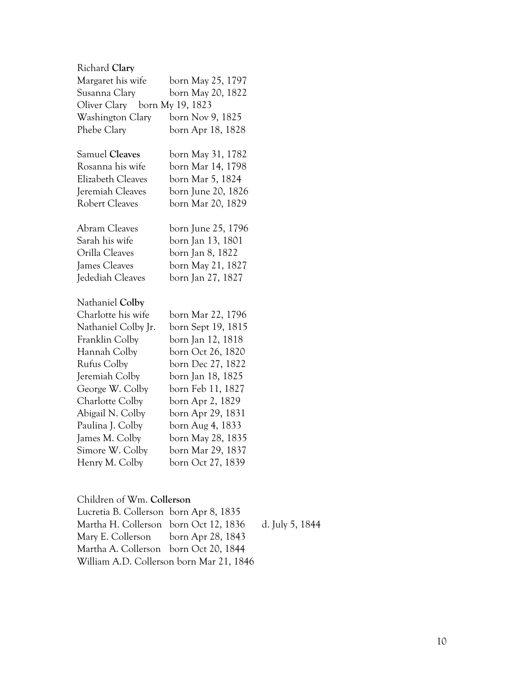| Richard Clary                 |                    |
|-------------------------------|--------------------|
| Margaret his wife             | born May 25, 1797  |
| Susanna Clary                 | born May 20, 1822  |
| Oliver Clary born My 19, 1823 |                    |
| Washington Clary              | born Nov 9, 1825   |
| Phebe Clary                   | born Apr 18, 1828  |
| <b>Samuel Cleaves</b>         | born May 31, 1782  |
| Rosanna his wife              | born Mar 14, 1798  |
| Elizabeth Cleaves             | born Mar 5, 1824   |
| Jeremiah Cleaves              | born June 20, 1826 |
| <b>Robert Cleaves</b>         | born Mar 20, 1829  |
| <b>Abram Cleaves</b>          | born June 25, 1796 |
| Sarah his wife                | born Jan 13, 1801  |
| Orilla Cleaves                | born Jan 8, 1822   |
| James Cleaves                 | born May 21, 1827  |
| Jedediah Cleaves              | born Jan 27, 1827  |
| Nathaniel Colby               |                    |
| Charlotte his wife            | born Mar 22, 1796  |
| Nathaniel Colby Jr.           | born Sept 19, 1815 |
| Franklin Colby                | born Jan 12, 1818  |
| Hannah Colby                  | born Oct 26, 1820  |
| <b>Rufus Colby</b>            | born Dec 27, 1822  |
| Jeremiah Colby                | born Jan 18, 1825  |
| George W. Colby               | born Feb 11, 1827  |
| Charlotte Colby               | born Apr 2, 1829   |
| Abigail N. Colby              | born Apr 29, 1831  |
| Paulina J. Colby              | born Aug 4, 1833   |
| James M. Colby                | born May 28, 1835  |
| Simore W. Colby               | born Mar 29, 1837  |
| Henry M. Colby                | born Oct 27, 1839  |

### Children of Wm. **Collerson**

| Lucretia B. Collerson born Apr 8, 1835   |                                                       |  |
|------------------------------------------|-------------------------------------------------------|--|
|                                          | Martha H. Collerson born Oct 12, 1836 d. July 5, 1844 |  |
| Mary E. Collerson born Apr 28, 1843      |                                                       |  |
| Martha A. Collerson born Oct 20, 1844    |                                                       |  |
| William A.D. Collerson born Mar 21, 1846 |                                                       |  |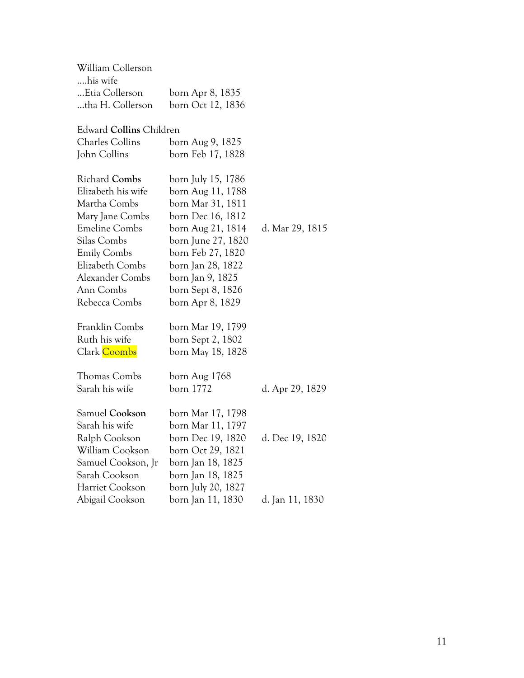| William Collerson       |                    |                 |
|-------------------------|--------------------|-----------------|
| his wife                |                    |                 |
| Etia Collerson          | born Apr 8, 1835   |                 |
| tha H. Collerson        | born Oct 12, 1836  |                 |
|                         |                    |                 |
| Edward Collins Children |                    |                 |
| Charles Collins         | born Aug 9, 1825   |                 |
| John Collins            | born Feb 17, 1828  |                 |
|                         |                    |                 |
| <b>Richard Combs</b>    | born July 15, 1786 |                 |
| Elizabeth his wife      | born Aug 11, 1788  |                 |
| Martha Combs            | born Mar 31, 1811  |                 |
| Mary Jane Combs         | born Dec 16, 1812  |                 |
| <b>Emeline Combs</b>    | born Aug 21, 1814  | d. Mar 29, 1815 |
| Silas Combs             | born June 27, 1820 |                 |
| <b>Emily Combs</b>      | born Feb 27, 1820  |                 |
| Elizabeth Combs         | born Jan 28, 1822  |                 |
| Alexander Combs         | born Jan 9, 1825   |                 |
| Ann Combs               | born Sept 8, 1826  |                 |
| Rebecca Combs           | born Apr 8, 1829   |                 |
|                         |                    |                 |
| Franklin Combs          | born Mar 19, 1799  |                 |
| Ruth his wife           | born Sept 2, 1802  |                 |
| Clark Coombs            | born May 18, 1828  |                 |
|                         |                    |                 |
| <b>Thomas Combs</b>     | born Aug 1768      |                 |
| Sarah his wife          | born 1772          | d. Apr 29, 1829 |
|                         |                    |                 |
| Samuel Cookson          | born Mar 17, 1798  |                 |
| Sarah his wife          | born Mar 11, 1797  |                 |
| Ralph Cookson           | born Dec 19, 1820  | d. Dec 19, 1820 |
| William Cookson         | born Oct 29, 1821  |                 |
| Samuel Cookson, Jr      | born Jan 18, 1825  |                 |
| Sarah Cookson           | born Jan 18, 1825  |                 |
| Harriet Cookson         | born July 20, 1827 |                 |
| Abigail Cookson         | born Jan 11, 1830  | d. Jan 11, 1830 |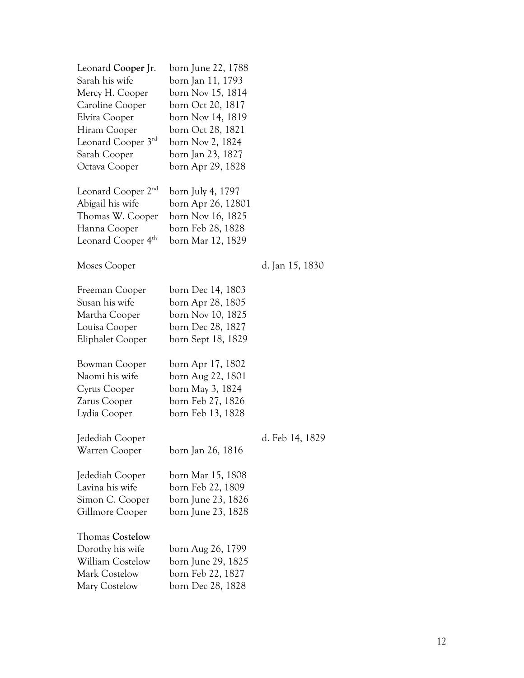| Leonard Cooper Jr.<br>Sarah his wife<br>Mercy H. Cooper<br>Caroline Cooper<br>Elvira Cooper<br>Hiram Cooper<br>Leonard Cooper 3rd<br>Sarah Cooper<br>Octava Cooper | born June 22, 1788<br>born Jan 11, 1793<br>born Nov 15, 1814<br>born Oct 20, 1817<br>born Nov 14, 1819<br>born Oct 28, 1821<br>born Nov 2, 1824<br>born Jan 23, 1827<br>born Apr 29, 1828 |                 |
|--------------------------------------------------------------------------------------------------------------------------------------------------------------------|-------------------------------------------------------------------------------------------------------------------------------------------------------------------------------------------|-----------------|
| Leonard Cooper 2 <sup>nd</sup><br>Abigail his wife<br>Thomas W. Cooper<br>Hanna Cooper<br>Leonard Cooper 4 <sup>th</sup>                                           | born July 4, 1797<br>born Apr 26, 12801<br>born Nov 16, 1825<br>born Feb 28, 1828<br>born Mar 12, 1829                                                                                    |                 |
| Moses Cooper                                                                                                                                                       |                                                                                                                                                                                           | d. Jan 15, 1830 |
| Freeman Cooper<br>Susan his wife<br>Martha Cooper<br>Louisa Cooper<br>Eliphalet Cooper                                                                             | born Dec 14, 1803<br>born Apr 28, 1805<br>born Nov 10, 1825<br>born Dec 28, 1827<br>born Sept 18, 1829                                                                                    |                 |
| Bowman Cooper<br>Naomi his wife<br>Cyrus Cooper<br>Zarus Cooper<br>Lydia Cooper                                                                                    | born Apr 17, 1802<br>born Aug 22, 1801<br>born May 3, 1824<br>born Feb 27, 1826<br>born Feb 13, 1828                                                                                      |                 |
| Jedediah Cooper<br>Warren Cooper                                                                                                                                   | born Jan 26, 1816                                                                                                                                                                         | d. Feb 14, 1829 |
| Jedediah Cooper<br>Lavina his wife<br>Simon C. Cooper<br>Gillmore Cooper                                                                                           | born Mar 15, 1808<br>born Feb 22, 1809<br>born June 23, 1826<br>born June 23, 1828                                                                                                        |                 |
| <b>Thomas Costelow</b><br>Dorothy his wife<br><b>William Costelow</b><br><b>Mark Costelow</b><br>Mary Costelow                                                     | born Aug 26, 1799<br>born June 29, 1825<br>born Feb 22, 1827<br>born Dec 28, 1828                                                                                                         |                 |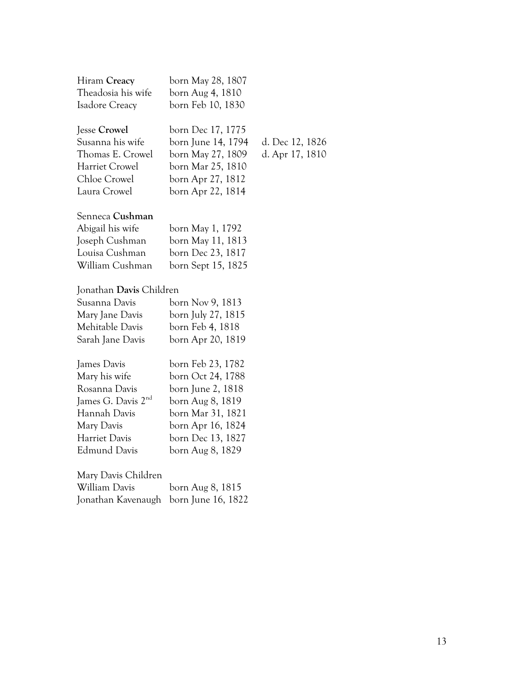| Hiram Creacy       | born May 28, 1807 |
|--------------------|-------------------|
| Theadosia his wife | born Aug 4, 1810  |
| Isadore Creacy     | born Feb 10, 1830 |

Jesse **Crowel** born Dec 17, 1775

Susanna his wife born June 14, 1794 d. Dec 12, 1826 Thomas E. Crowel born May 27, 1809 d. Apr 17, 1810 Harriet Crowel born Mar 25, 1810 Chloe Crowel born Apr 27, 1812 Laura Crowel born Apr 22, 1814

#### Senneca **Cushman**

| Abigail his wife | born May 1, 1792   |
|------------------|--------------------|
| Joseph Cushman   | born May 11, 1813  |
| Louisa Cushman   | born Dec 23, 1817  |
| William Cushman  | born Sept 15, 1825 |

#### Jonathan **Davis** Children

| Susanna Davis    | born Nov 9, 1813   |
|------------------|--------------------|
| Mary Jane Davis  | born July 27, 1815 |
| Mehitable Davis  | born Feb 4, 1818   |
| Sarah Jane Davis | born Apr 20, 1819  |
|                  |                    |

| James Davis                    | born Feb 23, 1782 |
|--------------------------------|-------------------|
| Mary his wife                  | born Oct 24, 1788 |
| Rosanna Davis                  | born June 2, 1818 |
| James G. Davis 2 <sup>nd</sup> | born Aug 8, 1819  |
| Hannah Davis                   | born Mar 31, 1821 |
| Mary Davis                     | born Apr 16, 1824 |
| Harriet Davis                  | born Dec 13, 1827 |
| Edmund Davis                   | born Aug 8, 1829  |
|                                |                   |

Mary Davis Children William Davis born Aug 8, 1815 Jonathan Kavenaugh born June 16, 1822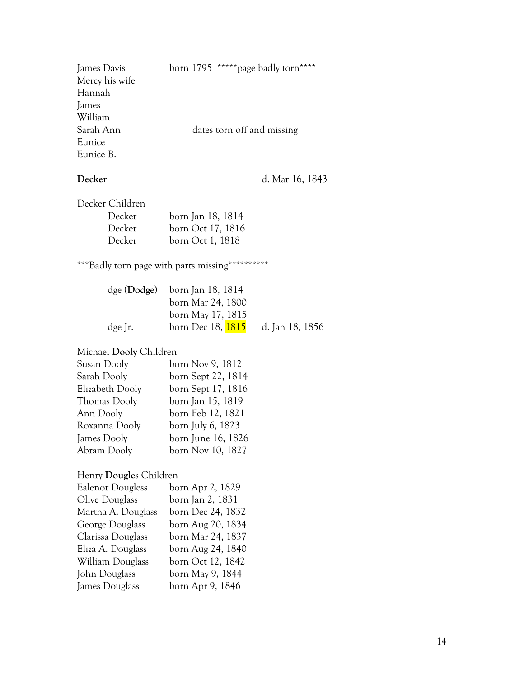| James Davis    | born 1795 ***** page badly torn**** |
|----------------|-------------------------------------|
| Mercy his wife |                                     |
| Hannah         |                                     |
| James          |                                     |
| William        |                                     |
| Sarah Ann      | dates torn off and missing          |
| Eunice         |                                     |
| Eunice B.      |                                     |

**Decker** d. Mar 16, 1843

Decker Children

| Decker | born Jan 18, 1814 |
|--------|-------------------|
| Decker | born Oct 17, 1816 |
| Decker | born Oct 1, 1818  |

\*\*\*Badly torn page with parts missing\*\*\*\*\*\*\*\*\*\*

|         | $\deg$ (Dodge) born Jan 18, 1814 |                 |
|---------|----------------------------------|-----------------|
|         | born Mar 24, 1800                |                 |
|         | born May 17, 1815                |                 |
| dge Jr. | born Dec 18, <b>1815</b>         | d. Jan 18, 1856 |

#### Michael **Dooly** Children

| Susan Dooly     | born Nov 9, 1812   |
|-----------------|--------------------|
| Sarah Dooly     | born Sept 22, 1814 |
| Elizabeth Dooly | born Sept 17, 1816 |
| Thomas Dooly    | born Jan 15, 1819  |
| Ann Dooly       | born Feb 12, 1821  |
| Roxanna Dooly   | born July 6, 1823  |
| James Dooly     | born June 16, 1826 |
| Abram Dooly     | born Nov 10, 1827  |

#### Henry **Dougles** Children

| <b>Ealenor Dougless</b> | born Apr 2, 1829  |
|-------------------------|-------------------|
| Olive Douglass          | born Jan 2, 1831  |
| Martha A. Douglass      | born Dec 24, 1832 |
| George Douglass         | born Aug 20, 1834 |
| Clarissa Douglass       | born Mar 24, 1837 |
| Eliza A. Douglass       | born Aug 24, 1840 |
| William Douglass        | born Oct 12, 1842 |
| John Douglass           | born May 9, 1844  |
| James Douglass          | born Apr 9, 1846  |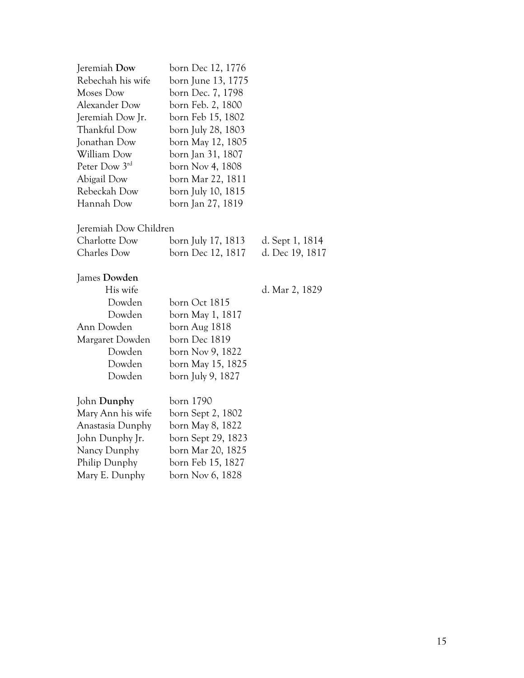| Jeremiah Dow          | born Dec 12, 1776  |                 |
|-----------------------|--------------------|-----------------|
| Rebechah his wife     | born June 13, 1775 |                 |
| Moses Dow             | born Dec. 7, 1798  |                 |
| Alexander Dow         | born Feb. 2, 1800  |                 |
| Jeremiah Dow Jr.      | born Feb 15, 1802  |                 |
| Thankful Dow          | born July 28, 1803 |                 |
| Jonathan Dow          | born May 12, 1805  |                 |
| William Dow           | born Jan 31, 1807  |                 |
| Peter Dow 3rd         | born Nov 4, 1808   |                 |
| Abigail Dow           | born Mar 22, 1811  |                 |
| Rebeckah Dow          | born July 10, 1815 |                 |
| Hannah Dow            | born Jan 27, 1819  |                 |
|                       |                    |                 |
| Jeremiah Dow Children |                    |                 |
| Charlotte Dow         | born July 17, 1813 | d. Sept 1, 1814 |
| Charles Dow           | born Dec 12, 1817  | d. Dec 19, 1817 |
|                       |                    |                 |
| James Dowden          |                    |                 |
| His wife              |                    | d. Mar 2, 1829  |
| Dowden                | born Oct 1815      |                 |
| Dowden                | born May 1, 1817   |                 |
| Ann Dowden            | born Aug 1818      |                 |
| Margaret Dowden       | born Dec 1819      |                 |
| Dowden                | born Nov 9, 1822   |                 |
| Dowden                | born May 15, 1825  |                 |
| Dowden                | born July 9, 1827  |                 |
| John Dunphy           | born 1790          |                 |
| Mary Ann his wife     | born Sept 2, 1802  |                 |
| Anastasia Dunphy      | born May 8, 1822   |                 |
| John Dunphy Jr.       | born Sept 29, 1823 |                 |
| Nancy Dunphy          | born Mar 20, 1825  |                 |
| Philip Dunphy         | born Feb 15, 1827  |                 |
| Mary E. Dunphy        | born Nov 6, 1828   |                 |
|                       |                    |                 |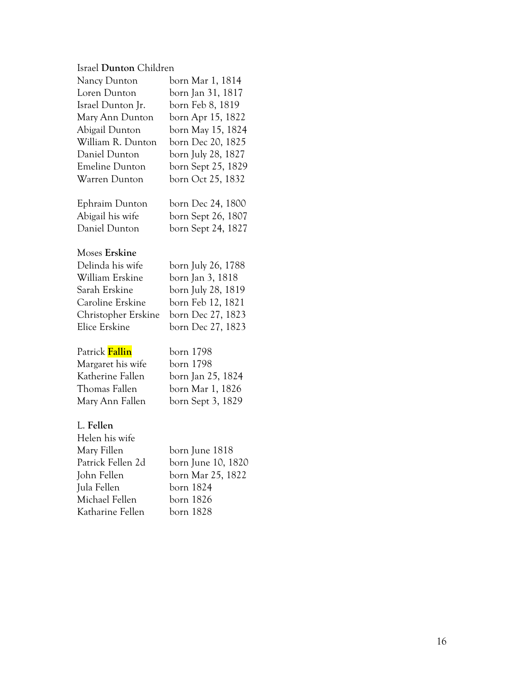#### Israel **Dunton** Children

| Nancy Dunton          | born Mar 1, 1814   |
|-----------------------|--------------------|
| Loren Dunton          | born Jan 31, 1817  |
| Israel Dunton Jr.     | born Feb 8, 1819   |
| Mary Ann Dunton       | born Apr 15, 1822  |
| Abigail Dunton        | born May 15, 1824  |
| William R. Dunton     | born Dec 20, 1825  |
| Daniel Dunton         | born July 28, 1827 |
| <b>Emeline Dunton</b> | born Sept 25, 1829 |
| Warren Dunton         | born Oct 25, 1832  |
|                       |                    |
| Ephraim Dunton        | born Dec 24, 1800  |

| $\nu_{\rm{p}}$ and $\nu_{\rm{p}}$ | $0.0111$ DCC $411$ , 1000 |
|-----------------------------------|---------------------------|
| Abigail his wife                  | born Sept 26, 1807        |
| Daniel Dunton                     | born Sept 24, 1827        |

#### Moses **Erskine**

| Delinda his wife    | born July 26, 1788 |
|---------------------|--------------------|
| William Erskine     | born Jan 3, 1818   |
| Sarah Erskine       | born July 28, 1819 |
| Caroline Erskine    | born Feb 12, 1821  |
| Christopher Erskine | born Dec 27, 1823  |
| Elice Erskine       | born Dec 27, 1823  |

| Patrick Fallin    | born 1798         |
|-------------------|-------------------|
| Margaret his wife | born 1798         |
| Katherine Fallen  | born Jan 25, 1824 |
| Thomas Fallen     | born Mar 1, 1826  |
| Mary Ann Fallen   | born Sept 3, 1829 |

### L. **Fellen**

| born June 1818     |
|--------------------|
| born June 10, 1820 |
| born Mar 25, 1822  |
| born 1824          |
| born 1826          |
| born 1828          |
|                    |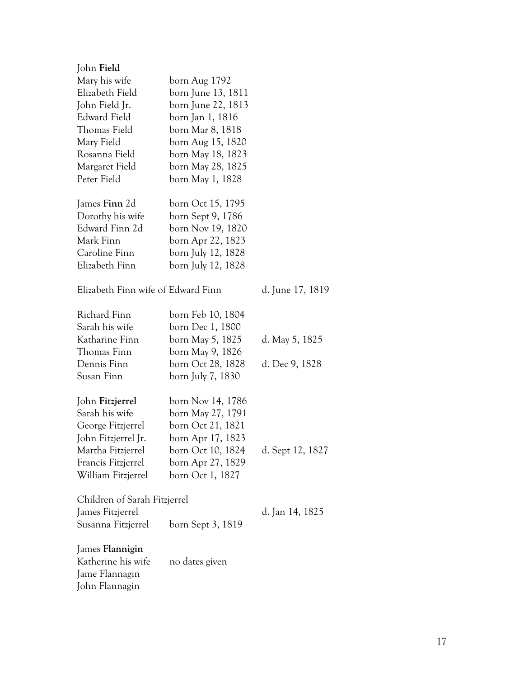| John Field                         |                    |                  |
|------------------------------------|--------------------|------------------|
| Mary his wife                      | born Aug 1792      |                  |
| Elizabeth Field                    | born June 13, 1811 |                  |
| John Field Jr.                     | born June 22, 1813 |                  |
| Edward Field                       | born Jan 1, 1816   |                  |
| Thomas Field                       | born Mar 8, 1818   |                  |
| Mary Field                         | born Aug 15, 1820  |                  |
| Rosanna Field                      | born May 18, 1823  |                  |
| Margaret Field                     | born May 28, 1825  |                  |
| Peter Field                        | born May 1, 1828   |                  |
| James Finn 2d                      | born Oct 15, 1795  |                  |
| Dorothy his wife                   | born Sept 9, 1786  |                  |
| Edward Finn 2d                     | born Nov 19, 1820  |                  |
| Mark Finn                          | born Apr 22, 1823  |                  |
| Caroline Finn                      | born July 12, 1828 |                  |
| Elizabeth Finn                     | born July 12, 1828 |                  |
| Elizabeth Finn wife of Edward Finn |                    | d. June 17, 1819 |
| Richard Finn                       | born Feb 10, 1804  |                  |
| Sarah his wife                     | born Dec 1, 1800   |                  |
| Katharine Finn                     | born May 5, 1825   | d. May 5, 1825   |
| Thomas Finn                        | born May 9, 1826   |                  |
| Dennis Finn                        | born Oct 28, 1828  | d. Dec 9, 1828   |
| Susan Finn                         | born July 7, 1830  |                  |
| John Fitzjerrel                    | born Nov 14, 1786  |                  |
| Sarah his wife                     | born May 27, 1791  |                  |
| George Fitzjerrel                  | born Oct 21, 1821  |                  |
| John Fitzjerrel Jr.                | born Apr 17, 1823  |                  |
| Martha Fitzjerrel                  | born Oct 10, 1824  | d. Sept 12, 1827 |
| Francis Fitzjerrel                 | born Apr 27, 1829  |                  |
| William Fitzjerrel                 | born Oct 1, 1827   |                  |
| Children of Sarah Fitzjerrel       |                    |                  |
| James Fitzjerrel                   |                    | d. Jan 14, 1825  |
| Susanna Fitzjerrel                 | born Sept 3, 1819  |                  |
| James Flannigin                    |                    |                  |
| Katherine his wife                 | no dates given     |                  |
| Jame Flannagin                     |                    |                  |
| John Flannagin                     |                    |                  |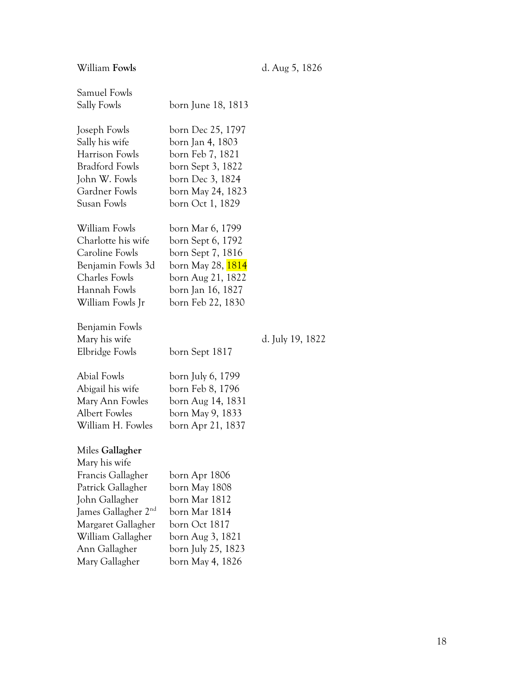William **Fowls** d. Aug 5, 1826

| Samuel Fowls<br>Sally Fowls                                                                                                                                                                                   | born June 18, 1813                                                                                                                                          |                  |
|---------------------------------------------------------------------------------------------------------------------------------------------------------------------------------------------------------------|-------------------------------------------------------------------------------------------------------------------------------------------------------------|------------------|
| Joseph Fowls<br>Sally his wife<br>Harrison Fowls<br><b>Bradford Fowls</b><br>John W. Fowls<br>Gardner Fowls<br>Susan Fowls                                                                                    | born Dec 25, 1797<br>born Jan 4, 1803<br>born Feb 7, 1821<br>born Sept 3, 1822<br>born Dec 3, 1824<br>born May 24, 1823<br>born Oct 1, 1829                 |                  |
| William Fowls<br>Charlotte his wife<br>Caroline Fowls<br>Benjamin Fowls 3d<br>Charles Fowls<br>Hannah Fowls<br>William Fowls Jr                                                                               | born Mar 6, 1799<br>born Sept 6, 1792<br>born Sept 7, 1816<br>born May 28, <mark>1814</mark><br>born Aug 21, 1822<br>born Jan 16, 1827<br>born Feb 22, 1830 |                  |
| Benjamin Fowls<br>Mary his wife<br>Elbridge Fowls                                                                                                                                                             | born Sept 1817                                                                                                                                              | d. July 19, 1822 |
| Abial Fowls<br>Abigail his wife<br>Mary Ann Fowles<br><b>Albert Fowles</b><br>William H. Fowles                                                                                                               | born July 6, 1799<br>born Feb 8, 1796<br>born Aug 14, 1831<br>born May 9, 1833<br>born Apr 21, 1837                                                         |                  |
| Miles Gallagher<br>Mary his wife<br>Francis Gallagher<br>Patrick Gallagher<br>John Gallagher<br>James Gallagher 2 <sup>nd</sup><br>Margaret Gallagher<br>William Gallagher<br>Ann Gallagher<br>Mary Gallagher | born Apr 1806<br>born May 1808<br>born Mar 1812<br>born Mar 1814<br>born Oct 1817<br>born Aug 3, 1821<br>born July 25, 1823<br>born May 4, 1826             |                  |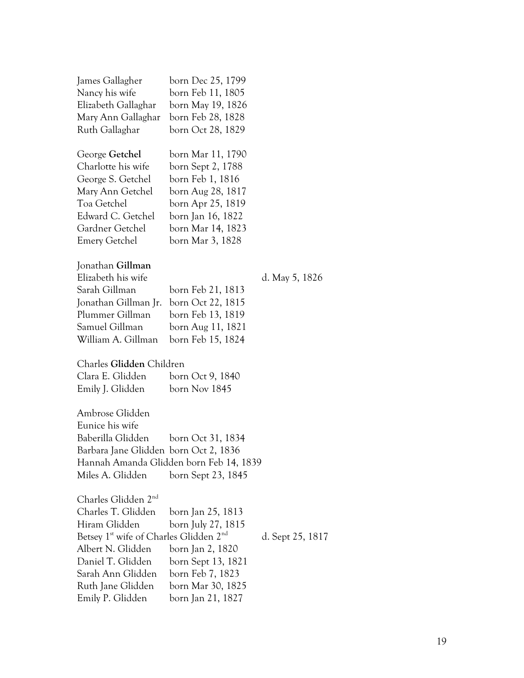| James Gallagher                                                | born Dec 25, 1799                       |                  |
|----------------------------------------------------------------|-----------------------------------------|------------------|
| Nancy his wife                                                 | born Feb 11, 1805                       |                  |
| Elizabeth Gallaghar                                            | born May 19, 1826                       |                  |
| Mary Ann Gallaghar                                             | born Feb 28, 1828                       |                  |
| Ruth Gallaghar                                                 | born Oct 28, 1829                       |                  |
| George Getchel                                                 | born Mar 11, 1790                       |                  |
| Charlotte his wife                                             | born Sept 2, 1788                       |                  |
| George S. Getchel                                              | born Feb 1, 1816                        |                  |
| Mary Ann Getchel                                               | born Aug 28, 1817                       |                  |
| Toa Getchel                                                    | born Apr 25, 1819                       |                  |
| Edward C. Getchel                                              | born Jan 16, 1822                       |                  |
| Gardner Getchel                                                | born Mar 14, 1823                       |                  |
| <b>Emery Getchel</b>                                           | born Mar 3, 1828                        |                  |
| Jonathan Gillman                                               |                                         |                  |
| Elizabeth his wife                                             |                                         | d. May 5, 1826   |
| Sarah Gillman                                                  | born Feb 21, 1813                       |                  |
| Jonathan Gillman Jr.                                           | born Oct 22, 1815                       |                  |
| Plummer Gillman                                                | born Feb 13, 1819                       |                  |
| Samuel Gillman                                                 | born Aug 11, 1821                       |                  |
| William A. Gillman                                             | born Feb 15, 1824                       |                  |
| Charles Glidden Children                                       |                                         |                  |
| Clara E. Glidden                                               | born Oct 9, 1840                        |                  |
| Emily J. Glidden                                               | born Nov 1845                           |                  |
|                                                                |                                         |                  |
| Ambrose Glidden                                                |                                         |                  |
| Eunice his wife                                                |                                         |                  |
| Baberilla Glidden                                              | born Oct 31, 1834                       |                  |
| Barbara Jane Glidden born Oct 2, 1836                          |                                         |                  |
|                                                                | Hannah Amanda Glidden born Feb 14, 1839 |                  |
| Miles A. Glidden                                               | born Sept 23, 1845                      |                  |
| Charles Glidden 2 <sup>nd</sup>                                |                                         |                  |
| Charles T. Glidden                                             | born Jan 25, 1813                       |                  |
| Hiram Glidden                                                  | born July 27, 1815                      |                  |
| Betsey 1 <sup>st</sup> wife of Charles Glidden 2 <sup>nd</sup> |                                         | d. Sept 25, 1817 |
| Albert N. Glidden                                              | born Jan 2, 1820                        |                  |
| Daniel T. Glidden                                              | born Sept 13, 1821                      |                  |
| Sarah Ann Glidden                                              | born Feb 7, 1823                        |                  |
| Ruth Jane Glidden                                              | born Mar 30, 1825                       |                  |
| Emily P. Glidden                                               | born Jan 21, 1827                       |                  |
|                                                                |                                         |                  |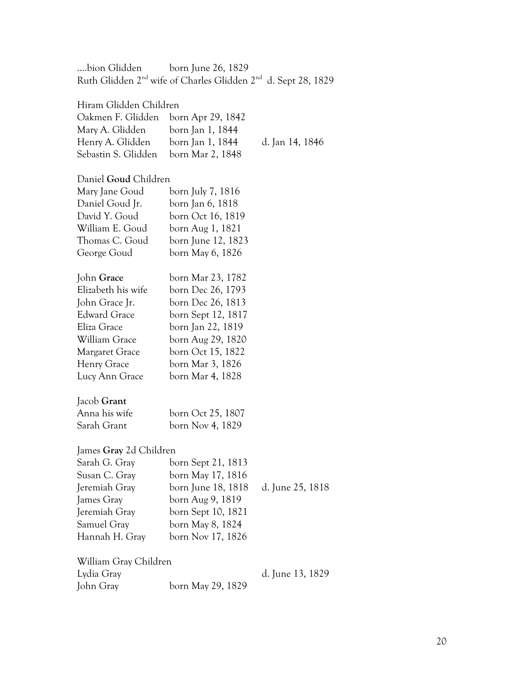….bion Glidden born June 26, 1829 Ruth Glidden 2<sup>nd</sup> wife of Charles Glidden 2<sup>nd</sup> d. Sept 28, 1829

#### Hiram Glidden Children

| Oakmen F. Glidden   | born Apr 29, 1842 |        |
|---------------------|-------------------|--------|
| Mary A. Glidden     | born Jan 1, 1844  |        |
| Henry A. Glidden    | born Jan 1, 1844  | d. Jan |
| Sebastin S. Glidden | born Mar 2, 1848  |        |

#### Daniel **Goud** Children

| Mary Jane Goud      | born July 7, 1816  |
|---------------------|--------------------|
| Daniel Goud Jr.     | born Jan 6, 1818   |
| David Y. Goud       | born Oct 16, 1819  |
| William E. Goud     | born Aug 1, 1821   |
| Thomas C. Goud      | born June 12, 1823 |
| George Goud         | born May 6, 1826   |
| John Grace          | born Mar 23, 1782  |
| Elizabeth his wife  | born Dec 26, 1793  |
| John Grace Jr.      | born Dec 26, 1813  |
| <b>Edward Grace</b> | born Sept 12, 1817 |
| Eliza Grace         | born Jan 22, 1819  |
| William Grace       | born Aug 29, 1820  |
| Margaret Grace      | born Oct 15, 1822  |
| Henry Grace         | born Mar 3, 1826   |
| Lucy Ann Grace      | born Mar 4, 1828   |
|                     |                    |

#### Jacob **Grant**

| Anna his wife | born Oct 25, 1807 |
|---------------|-------------------|
| Sarah Grant   | born Nov 4, 1829  |

#### James **Gray** 2d Children

| Sarah G. Gray  | born Sept 21, 1813 |                  |
|----------------|--------------------|------------------|
| Susan C. Gray  | born May 17, 1816  |                  |
| Jeremiah Gray  | born June 18, 1818 | d. June 25, 1818 |
| James Gray     | born Aug 9, 1819   |                  |
| Jeremiah Gray  | born Sept 10, 1821 |                  |
| Samuel Gray    | born May 8, 1824   |                  |
| Hannah H. Gray | born Nov 17, 1826  |                  |
|                |                    |                  |

William Gray Children Lydia Gray d. June 13, 1829 John Gray born May 29, 1829

14, 1846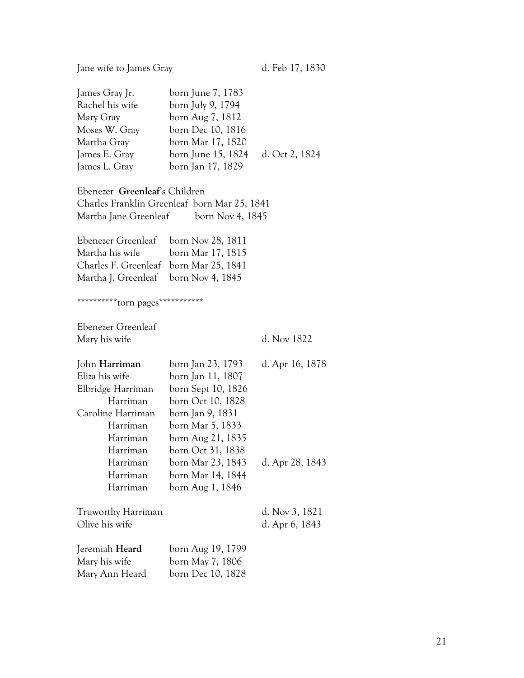| Jane wife to James Gray                                                                                                                                       |                                                                                                                                                                                                                                   | d. Feb 17, 1830                    |
|---------------------------------------------------------------------------------------------------------------------------------------------------------------|-----------------------------------------------------------------------------------------------------------------------------------------------------------------------------------------------------------------------------------|------------------------------------|
| James Gray Jr.<br>Rachel his wife<br>Mary Gray<br>Moses W. Gray<br>Martha Gray<br>James E. Gray<br>James L. Gray                                              | born June 7, 1783<br>born July 9, 1794<br>born Aug 7, 1812<br>born Dec 10, 1816<br>born Mar 17, 1820<br>born June 15, 1824<br>born Jan 17, 1829                                                                                   | d. Oct 2, 1824                     |
| Ebenezer Greenleaf's Children<br>Martha Jane Greenleaf                                                                                                        | Charles Franklin Greenleaf born Mar 25, 1841<br>born Nov 4, 1845                                                                                                                                                                  |                                    |
| Ebenezer Greenleaf<br>Martha his wife<br>Charles F. Greenleaf<br>Martha J. Greenleaf<br>***********torn pages************                                     | born Nov 28, 1811<br>born Mar 17, 1815<br>born Mar 25, 1841<br>born Nov 4, 1845                                                                                                                                                   |                                    |
| Ebenezer Greenleaf<br>Mary his wife                                                                                                                           |                                                                                                                                                                                                                                   | d. Nov 1822                        |
| John Harriman<br>Eliza his wife<br>Elbridge Harriman<br>Harriman<br>Caroline Harriman<br>Harriman<br>Harriman<br>Harriman<br>Harriman<br>Harriman<br>Harriman | born Jan 23, 1793<br>born Jan 11, 1807<br>born Sept 10, 1826<br>born Oct 10, 1828<br>born Jan 9, 1831<br>born Mar 5, 1833<br>born Aug 21, 1835<br>born Oct 31, 1838<br>born Mar 23, 1843<br>born Mar 14, 1844<br>born Aug 1, 1846 | d. Apr 16, 1878<br>d. Apr 28, 1843 |
| Truworthy Harriman<br>Olive his wife                                                                                                                          |                                                                                                                                                                                                                                   | d. Nov 3, 1821<br>d. Apr 6, 1843   |
| Jeremiah Heard<br>Mary his wife<br>Mary Ann Heard                                                                                                             | born Aug 19, 1799<br>born May 7, 1806<br>born Dec 10, 1828                                                                                                                                                                        |                                    |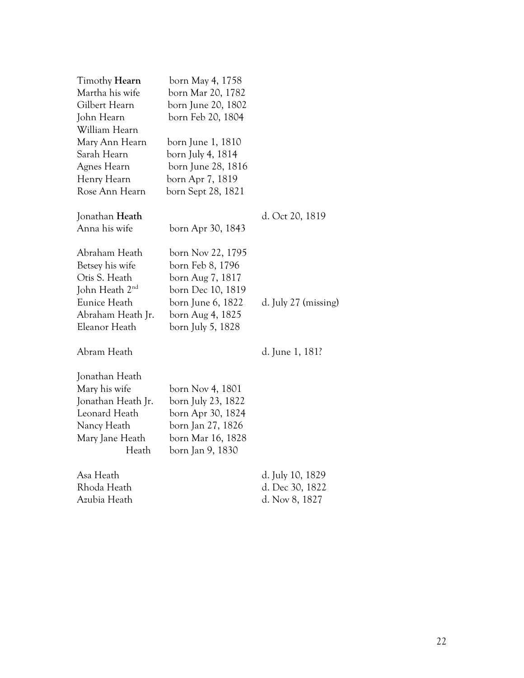| Timothy Hearn              | born May 4, 1758   |                      |
|----------------------------|--------------------|----------------------|
| Martha his wife            | born Mar 20, 1782  |                      |
| Gilbert Hearn              | born June 20, 1802 |                      |
| John Hearn                 | born Feb 20, 1804  |                      |
| William Hearn              |                    |                      |
| Mary Ann Hearn             | born June 1, 1810  |                      |
| Sarah Hearn                | born July 4, 1814  |                      |
| Agnes Hearn                | born June 28, 1816 |                      |
| Henry Hearn                | born Apr 7, 1819   |                      |
| Rose Ann Hearn             | born Sept 28, 1821 |                      |
| Jonathan Heath             |                    | d. Oct 20, 1819      |
| Anna his wife              | born Apr 30, 1843  |                      |
| Abraham Heath              | born Nov 22, 1795  |                      |
| Betsey his wife            | born Feb 8, 1796   |                      |
| Otis S. Heath              | born Aug 7, 1817   |                      |
| John Heath 2 <sup>nd</sup> | born Dec 10, 1819  |                      |
| Eunice Heath               | born June 6, 1822  | d. July 27 (missing) |
| Abraham Heath Jr.          | born Aug 4, 1825   |                      |
| Eleanor Heath              | born July 5, 1828  |                      |
| Abram Heath                |                    | d. June 1, 181?      |
| Jonathan Heath             |                    |                      |
| Mary his wife              | born Nov 4, 1801   |                      |
| Jonathan Heath Jr.         | born July 23, 1822 |                      |
| Leonard Heath              | born Apr 30, 1824  |                      |
| Nancy Heath                | born Jan 27, 1826  |                      |
| Mary Jane Heath            | born Mar 16, 1828  |                      |
| Heath                      | born Jan 9, 1830   |                      |
| Asa Heath                  |                    | d. July 10, 1829     |
| Rhoda Heath                |                    | d. Dec 30, 1822      |
| Azubia Heath               |                    | d. Nov 8, 1827       |
|                            |                    |                      |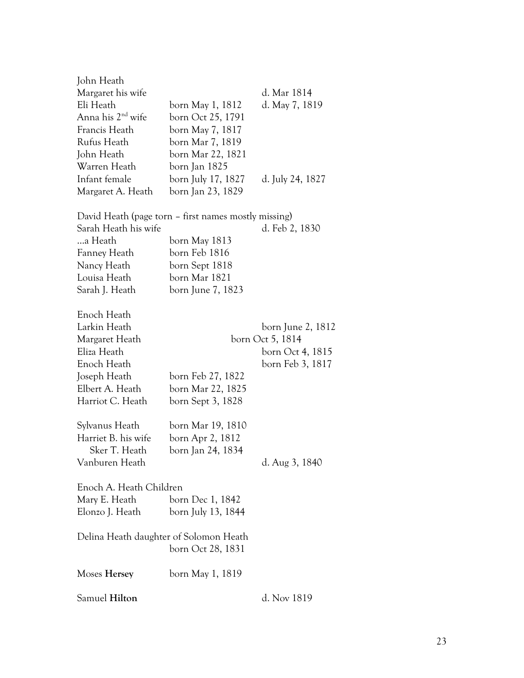| Samuel Hilton                                                                                                                      |                                                                                                                                                | d. Nov 1819                                                                   |
|------------------------------------------------------------------------------------------------------------------------------------|------------------------------------------------------------------------------------------------------------------------------------------------|-------------------------------------------------------------------------------|
| Moses Hersey                                                                                                                       | born May 1, 1819                                                                                                                               |                                                                               |
| Delina Heath daughter of Solomon Heath                                                                                             | born Oct 28, 1831                                                                                                                              |                                                                               |
| Enoch A. Heath Children<br>Mary E. Heath<br>Elonzo J. Heath                                                                        | born Dec 1, 1842<br>born July 13, 1844                                                                                                         |                                                                               |
| Sylvanus Heath<br>Harriet B. his wife<br>Sker T. Heath<br>Vanburen Heath                                                           | born Mar 19, 1810<br>born Apr 2, 1812<br>born Jan 24, 1834                                                                                     | d. Aug 3, 1840                                                                |
| Enoch Heath<br>Larkin Heath<br>Margaret Heath<br>Eliza Heath<br>Enoch Heath<br>Joseph Heath<br>Elbert A. Heath<br>Harriot C. Heath | born Feb 27, 1822<br>born Mar 22, 1825<br>born Sept 3, 1828                                                                                    | born June 2, 1812<br>born Oct 5, 1814<br>born Oct 4, 1815<br>born Feb 3, 1817 |
| Sarah Heath his wife<br>…a Heath<br>Fanney Heath<br>Nancy Heath<br>Louisa Heath<br>Sarah J. Heath                                  | David Heath (page torn – first names mostly missing)<br>born May 1813<br>born Feb 1816<br>born Sept 1818<br>born Mar 1821<br>born June 7, 1823 | d. Feb 2, 1830                                                                |
| Infant female<br>Margaret A. Heath                                                                                                 | born July 17, 1827<br>born Jan 23, 1829                                                                                                        | d. July 24, 1827                                                              |
| Anna his 2 <sup>nd</sup> wife<br>Francis Heath<br>Rufus Heath<br>John Heath<br>Warren Heath                                        | born Oct 25, 1791<br>born May 7, 1817<br>born Mar 7, 1819<br>born Mar 22, 1821<br>born Jan 1825                                                |                                                                               |
| John Heath<br>Margaret his wife<br>Eli Heath                                                                                       | born May 1, 1812                                                                                                                               | d. Mar 1814<br>d. May 7, 1819                                                 |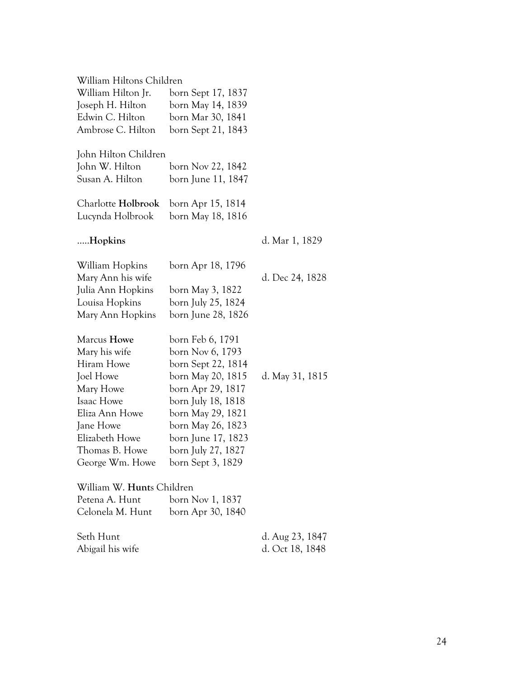| William Hiltons Children  |                    |                 |
|---------------------------|--------------------|-----------------|
| William Hilton Jr.        | born Sept 17, 1837 |                 |
| Joseph H. Hilton          | born May 14, 1839  |                 |
| Edwin C. Hilton           | born Mar 30, 1841  |                 |
| Ambrose C. Hilton         | born Sept 21, 1843 |                 |
| John Hilton Children      |                    |                 |
| John W. Hilton            | born Nov 22, 1842  |                 |
| Susan A. Hilton           | born June 11, 1847 |                 |
| Charlotte Holbrook        | born Apr 15, 1814  |                 |
| Lucynda Holbrook          | born May 18, 1816  |                 |
| Hopkins                   |                    | d. Mar 1, 1829  |
| William Hopkins           | born Apr 18, 1796  |                 |
| Mary Ann his wife         |                    | d. Dec 24, 1828 |
| Julia Ann Hopkins         | born May 3, 1822   |                 |
| Louisa Hopkins            | born July 25, 1824 |                 |
| Mary Ann Hopkins          | born June 28, 1826 |                 |
| Marcus Howe               | born Feb 6, 1791   |                 |
| Mary his wife             | born Nov 6, 1793   |                 |
| Hiram Howe                | born Sept 22, 1814 |                 |
| Joel Howe                 | born May 20, 1815  | d. May 31, 1815 |
| Mary Howe                 | born Apr 29, 1817  |                 |
| Isaac Howe                | born July 18, 1818 |                 |
| Eliza Ann Howe            | born May 29, 1821  |                 |
| Jane Howe                 | born May 26, 1823  |                 |
| Elizabeth Howe            | born June 17, 1823 |                 |
| Thomas B. Howe            | born July 27, 1827 |                 |
| George Wm. Howe           | born Sept 3, 1829  |                 |
| William W. Hunts Children |                    |                 |
| Petena A. Hunt            | born Nov 1, 1837   |                 |
| Celonela M. Hunt          | born Apr 30, 1840  |                 |
| Seth Hunt                 |                    | d. Aug 23, 1847 |
| Abigail his wife          |                    | d. Oct 18, 1848 |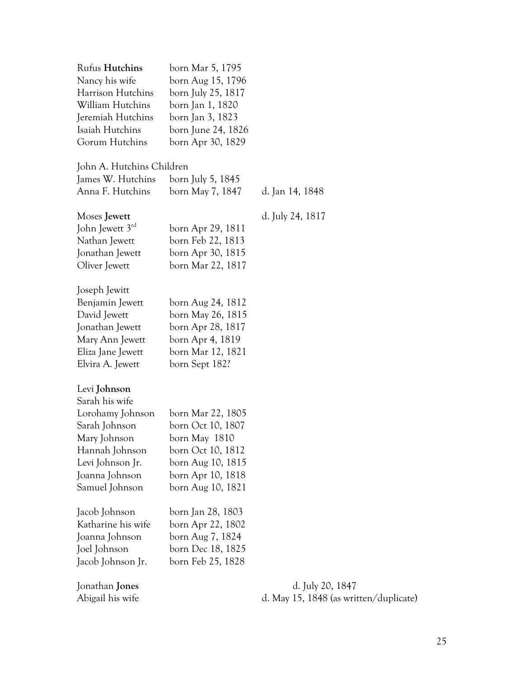| <b>Rufus Hutchins</b><br>Nancy his wife<br>Harrison Hutchins<br>William Hutchins<br>Jeremiah Hutchins<br>Isaiah Hutchins<br>Gorum Hutchins                    | born Mar 5, 1795<br>born Aug 15, 1796<br>born July 25, 1817<br>born Jan 1, 1820<br>born Jan 3, 1823<br>born June 24, 1826<br>born Apr 30, 1829 |                  |
|---------------------------------------------------------------------------------------------------------------------------------------------------------------|------------------------------------------------------------------------------------------------------------------------------------------------|------------------|
| John A. Hutchins Children                                                                                                                                     |                                                                                                                                                |                  |
| James W. Hutchins<br>Anna F. Hutchins                                                                                                                         | born July 5, 1845<br>born May 7, 1847                                                                                                          | d. Jan 14, 1848  |
| Moses Jewett<br>John Jewett 3rd<br>Nathan Jewett<br>Jonathan Jewett<br>Oliver Jewett                                                                          | born Apr 29, 1811<br>born Feb 22, 1813<br>born Apr 30, 1815<br>born Mar 22, 1817                                                               | d. July 24, 1817 |
| Joseph Jewitt<br>Benjamin Jewett<br>David Jewett<br>Jonathan Jewett<br>Mary Ann Jewett<br>Eliza Jane Jewett<br>Elvira A. Jewett                               | born Aug 24, 1812<br>born May 26, 1815<br>born Apr 28, 1817<br>born Apr 4, 1819<br>born Mar 12, 1821<br>born Sept 182?                         |                  |
| Levi Johnson<br>Sarah his wife<br>Lorohamy Johnson<br>Sarah Johnson<br>Mary Johnson<br>Hannah Johnson<br>Levi Johnson Jr.<br>Joanna Johnson<br>Samuel Johnson | born Mar 22, 1805<br>born Oct 10, 1807<br>born May 1810<br>born Oct 10, 1812<br>born Aug 10, 1815<br>born Apr 10, 1818<br>born Aug 10, 1821    |                  |
| Jacob Johnson<br>Katharine his wife<br>Joanna Johnson<br>Joel Johnson<br>Jacob Johnson Jr.                                                                    | born Jan 28, 1803<br>born Apr 22, 1802<br>born Aug 7, 1824<br>born Dec 18, 1825<br>born Feb 25, 1828                                           |                  |
| Jonathan <b>Jones</b>                                                                                                                                         |                                                                                                                                                | d. July 20, 1847 |

Abigail his wife d. May 15, 1848 (as written/duplicate)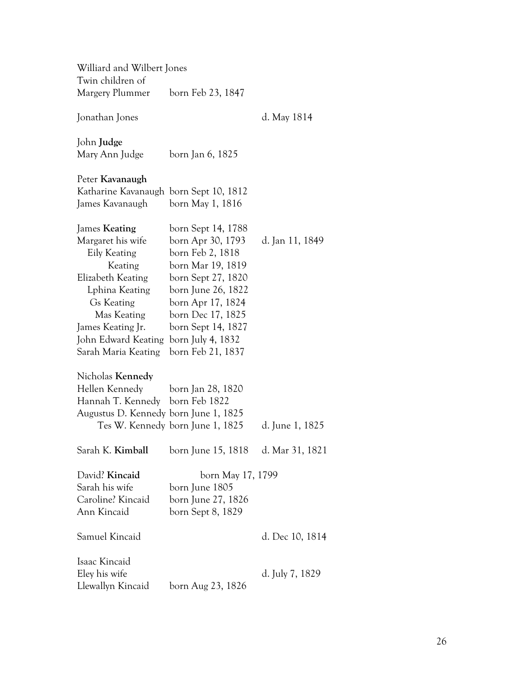| Williard and Wilbert Jones             |                                  |                 |
|----------------------------------------|----------------------------------|-----------------|
| Twin children of<br>Margery Plummer    |                                  |                 |
|                                        | born Feb 23, 1847                |                 |
| Jonathan Jones                         |                                  | d. May 1814     |
| John <b>Judge</b>                      |                                  |                 |
| Mary Ann Judge                         | born Jan 6, 1825                 |                 |
| Peter Kavanaugh                        |                                  |                 |
| Katharine Kavanaugh born Sept 10, 1812 |                                  |                 |
| James Kavanaugh                        | born May 1, 1816                 |                 |
| James Keating                          | born Sept 14, 1788               |                 |
| Margaret his wife                      | born Apr 30, 1793                | d. Jan 11, 1849 |
| Eily Keating                           | born Feb 2, 1818                 |                 |
| Keating                                | born Mar 19, 1819                |                 |
| Elizabeth Keating                      | born Sept 27, 1820               |                 |
| Lphina Keating                         | born June 26, 1822               |                 |
| Gs Keating                             | born Apr 17, 1824                |                 |
| Mas Keating                            | born Dec 17, 1825                |                 |
| James Keating Jr.                      | born Sept 14, 1827               |                 |
| John Edward Keating                    | born July 4, 1832                |                 |
| Sarah Maria Keating                    | born Feb 21, 1837                |                 |
| Nicholas Kennedy                       |                                  |                 |
| Hellen Kennedy                         | born Jan 28, 1820                |                 |
| Hannah T. Kennedy born Feb 1822        |                                  |                 |
| Augustus D. Kennedy born June 1, 1825  |                                  |                 |
|                                        | Tes W. Kennedy born June 1, 1825 | d. June 1, 1825 |
| Sarah K. Kimball                       | born June 15, 1818               | d. Mar 31, 1821 |
| David? Kincaid                         | born May 17, 1799                |                 |
| Sarah his wife                         | born June 1805                   |                 |
| Caroline? Kincaid                      | born June 27, 1826               |                 |
| Ann Kincaid                            | born Sept 8, 1829                |                 |
| Samuel Kincaid                         |                                  | d. Dec 10, 1814 |
| Isaac Kincaid                          |                                  |                 |
| Eley his wife                          |                                  | d. July 7, 1829 |
| Llewallyn Kincaid                      | born Aug 23, 1826                |                 |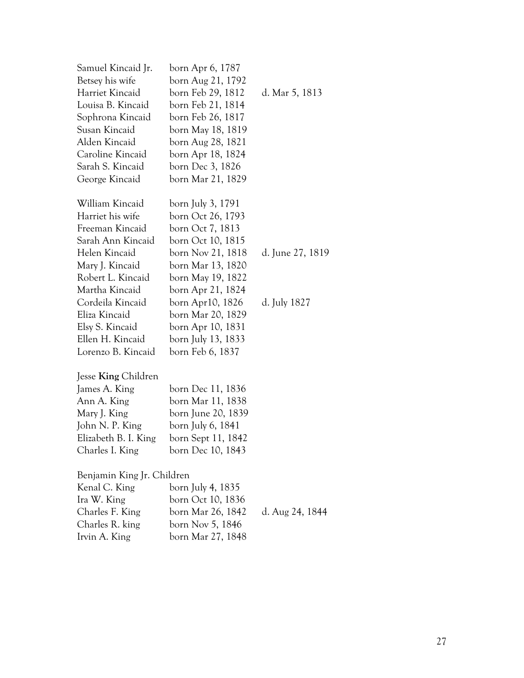| Samuel Kincaid Jr.         | born Apr 6, 1787   |                  |
|----------------------------|--------------------|------------------|
| Betsey his wife            | born Aug 21, 1792  |                  |
| Harriet Kincaid            | born Feb 29, 1812  | d. Mar 5, 1813   |
| Louisa B. Kincaid          | born Feb 21, 1814  |                  |
| Sophrona Kincaid           | born Feb 26, 1817  |                  |
| Susan Kincaid              | born May 18, 1819  |                  |
| Alden Kincaid              | born Aug 28, 1821  |                  |
| Caroline Kincaid           | born Apr 18, 1824  |                  |
| Sarah S. Kincaid           | born Dec 3, 1826   |                  |
| George Kincaid             | born Mar 21, 1829  |                  |
| William Kincaid            | born July 3, 1791  |                  |
| Harriet his wife           | born Oct 26, 1793  |                  |
| Freeman Kincaid            | born Oct 7, 1813   |                  |
| Sarah Ann Kincaid          | born Oct 10, 1815  |                  |
| Helen Kincaid              | born Nov 21, 1818  | d. June 27, 1819 |
| Mary J. Kincaid            | born Mar 13, 1820  |                  |
| Robert L. Kincaid          | born May 19, 1822  |                  |
| Martha Kincaid             | born Apr 21, 1824  |                  |
| Cordeila Kincaid           | born Apr10, 1826   | d. July 1827     |
| Eliza Kincaid              | born Mar 20, 1829  |                  |
| Elsy S. Kincaid            | born Apr 10, 1831  |                  |
| Ellen H. Kincaid           | born July 13, 1833 |                  |
| Lorenzo B. Kincaid         | born Feb 6, 1837   |                  |
| Jesse <b>King</b> Children |                    |                  |
| James A. King              | born Dec 11, 1836  |                  |
| Ann A. King                | born Mar 11, 1838  |                  |
| Mary J. King               | born June 20, 1839 |                  |
| John N. P. King            | born July 6, 1841  |                  |
| Elizabeth B. I. King       | born Sept 11, 1842 |                  |
| Charles I. King            | born Dec 10, 1843  |                  |
| Benjamin King Jr. Children |                    |                  |
| Kenal C. King              | born July 4, 1835  |                  |
| Ira W. King                | born Oct 10, 1836  |                  |
| Charles F. King            | born Mar 26, 1842  | d. Aug 24, 1844  |
| Charles R. king            | born Nov 5, 1846   |                  |
| Irvin A. King              | born Mar 27, 1848  |                  |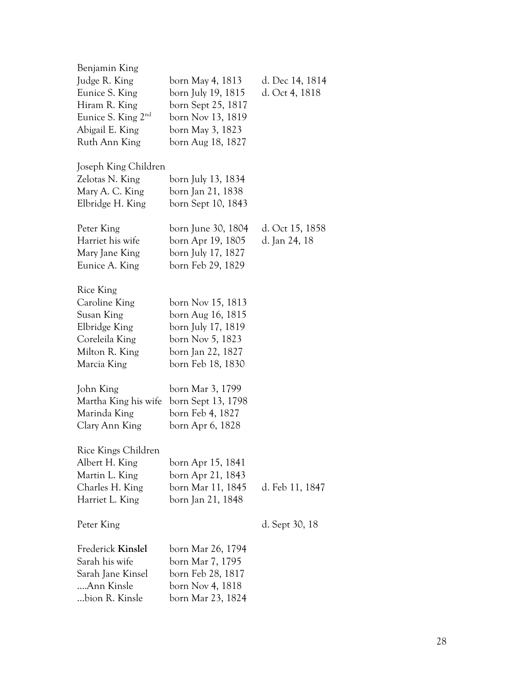| Benjamin King<br>Judge R. King<br>Eunice S. King<br>Hiram R. King<br>Eunice S. King 2 <sup>nd</sup><br>Abigail E. King<br>Ruth Ann King | born May 4, 1813<br>born July 19, 1815<br>born Sept 25, 1817<br>born Nov 13, 1819<br>born May 3, 1823<br>born Aug 18, 1827 | d. Dec 14, 1814<br>d. Oct 4, 1818 |
|-----------------------------------------------------------------------------------------------------------------------------------------|----------------------------------------------------------------------------------------------------------------------------|-----------------------------------|
| Joseph King Children<br>Zelotas N. King<br>Mary A. C. King<br>Elbridge H. King                                                          | born July 13, 1834<br>born Jan 21, 1838<br>born Sept 10, 1843                                                              |                                   |
| Peter King<br>Harriet his wife<br>Mary Jane King<br>Eunice A. King                                                                      | born June 30, 1804<br>born Apr 19, 1805<br>born July 17, 1827<br>born Feb 29, 1829                                         | d. Oct 15, 1858<br>d. Jan 24, 18  |
| <b>Rice King</b><br>Caroline King<br>Susan King<br>Elbridge King<br>Coreleila King<br>Milton R. King<br>Marcia King                     | born Nov 15, 1813<br>born Aug 16, 1815<br>born July 17, 1819<br>born Nov 5, 1823<br>born Jan 22, 1827<br>born Feb 18, 1830 |                                   |
| John King<br>Martha King his wife<br>Marinda King<br>Clary Ann King                                                                     | born Mar 3, 1799<br>born Sept 13, 1798<br>born Feb 4, 1827<br>born Apr 6, 1828                                             |                                   |
| Rice Kings Children<br>Albert H. King<br>Martin L. King<br>Charles H. King<br>Harriet L. King                                           | born Apr 15, 1841<br>born Apr 21, 1843<br>born Mar 11, 1845<br>born Jan 21, 1848                                           | d. Feb 11, 1847                   |
| Peter King                                                                                                                              |                                                                                                                            | d. Sept 30, 18                    |
| Frederick Kinslel<br>Sarah his wife<br>Sarah Jane Kinsel<br>Ann Kinsle<br>bion R. Kinsle                                                | born Mar 26, 1794<br>born Mar 7, 1795<br>born Feb 28, 1817<br>born Nov 4, 1818<br>born Mar 23, 1824                        |                                   |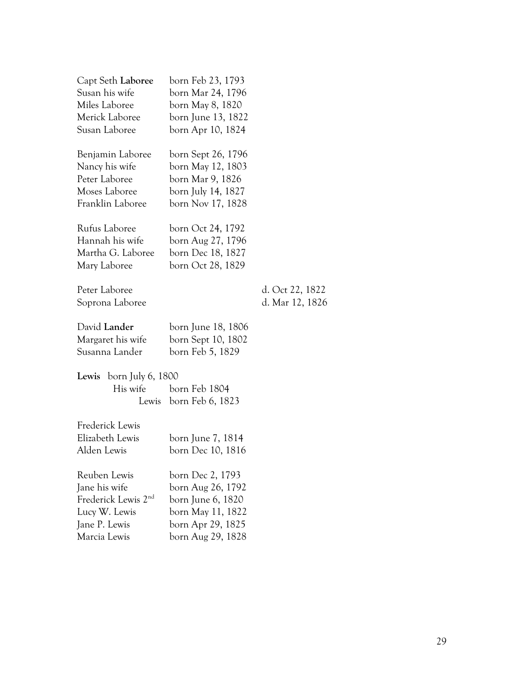| Capt Seth Laboree               | born Feb 23, 1793  |                 |
|---------------------------------|--------------------|-----------------|
| Susan his wife                  | born Mar 24, 1796  |                 |
| Miles Laboree                   | born May 8, 1820   |                 |
| Merick Laboree                  | born June 13, 1822 |                 |
| Susan Laboree                   | born Apr 10, 1824  |                 |
| Benjamin Laboree                | born Sept 26, 1796 |                 |
| Nancy his wife                  | born May 12, 1803  |                 |
| Peter Laboree                   | born Mar 9, 1826   |                 |
| Moses Laboree                   | born July 14, 1827 |                 |
| Franklin Laboree                | born Nov 17, 1828  |                 |
| Rufus Laboree                   | born Oct 24, 1792  |                 |
| Hannah his wife                 | born Aug 27, 1796  |                 |
| Martha G. Laboree               | born Dec 18, 1827  |                 |
| Mary Laboree                    | born Oct 28, 1829  |                 |
| Peter Laboree                   |                    | d. Oct 22, 1822 |
| Soprona Laboree                 |                    | d. Mar 12, 1826 |
| David Lander                    | born June 18, 1806 |                 |
| Margaret his wife               | born Sept 10, 1802 |                 |
| Susanna Lander                  | born Feb 5, 1829   |                 |
| born July 6, 1800<br>Lewis      |                    |                 |
| His wife                        | born Feb 1804      |                 |
| Lewis                           | born Feb 6, 1823   |                 |
| Frederick Lewis                 |                    |                 |
| Elizabeth Lewis                 | born June 7, 1814  |                 |
| Alden Lewis                     | born Dec 10, 1816  |                 |
| Reuben Lewis                    | born Dec 2, 1793   |                 |
| Jane his wife                   | born Aug 26, 1792  |                 |
| Frederick Lewis 2 <sup>nd</sup> | born June 6, 1820  |                 |
| Lucy W. Lewis                   | born May 11, 1822  |                 |
| Jane P. Lewis                   | born Apr 29, 1825  |                 |
| Marcia Lewis                    | born Aug 29, 1828  |                 |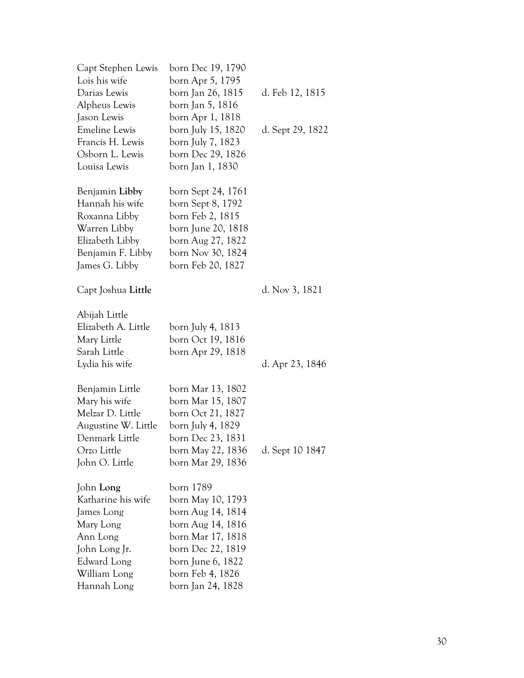| Capt Stephen Lewis   | born Dec 19, 1790  |                  |
|----------------------|--------------------|------------------|
| Lois his wife        | born Apr 5, 1795   |                  |
| Darias Lewis         | born Jan 26, 1815  | d. Feb 12, 1815  |
| Alpheus Lewis        | born Jan 5, 1816   |                  |
| Jason Lewis          | born Apr 1, 1818   |                  |
| <b>Emeline Lewis</b> | born July 15, 1820 | d. Sept 29, 1822 |
| Francis H. Lewis     | born July 7, 1823  |                  |
| Osborn L. Lewis      | born Dec 29, 1826  |                  |
| Louisa Lewis         | born Jan 1, 1830   |                  |
| Benjamin Libby       | born Sept 24, 1761 |                  |
| Hannah his wife      | born Sept 8, 1792  |                  |
| Roxanna Libby        | born Feb 2, 1815   |                  |
| Warren Libby         | born June 20, 1818 |                  |
| Elizabeth Libby      | born Aug 27, 1822  |                  |
| Benjamin F. Libby    | born Nov 30, 1824  |                  |
| James G. Libby       | born Feb 20, 1827  |                  |
| Capt Joshua Little   |                    | d. Nov 3, 1821   |
| Abijah Little        |                    |                  |
| Elizabeth A. Little  | born July 4, 1813  |                  |
| Mary Little          | born Oct 19, 1816  |                  |
| Sarah Little         | born Apr 29, 1818  |                  |
| Lydia his wife       |                    | d. Apr 23, 1846  |
| Benjamin Little      | born Mar 13, 1802  |                  |
| Mary his wife        | born Mar 15, 1807  |                  |
| Melzar D. Little     | born Oct 21, 1827  |                  |
| Augustine W. Little  | born July 4, 1829  |                  |
| Denmark Little       | born Dec 23, 1831  |                  |
| Orzo Little          | born May 22, 1836  | d. Sept 10 1847  |
| John O. Little       | born Mar 29, 1836  |                  |
| John Long            | born 1789          |                  |
| Katharine his wife   | born May 10, 1793  |                  |
| James Long           | born Aug 14, 1814  |                  |
| Mary Long            | born Aug 14, 1816  |                  |
| Ann Long             | born Mar 17, 1818  |                  |
| John Long Jr.        | born Dec 22, 1819  |                  |
| Edward Long          | born June 6, 1822  |                  |
| William Long         | born Feb 4, 1826   |                  |
| Hannah Long          | born Jan 24, 1828  |                  |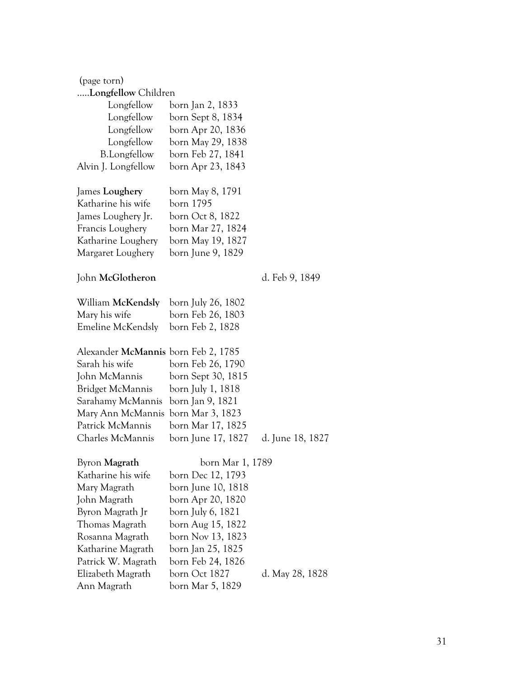| (page torn)                         |                    |                  |
|-------------------------------------|--------------------|------------------|
| Longfellow Children                 |                    |                  |
| Longfellow                          | born Jan 2, 1833   |                  |
| Longfellow                          | born Sept 8, 1834  |                  |
| Longfellow                          | born Apr 20, 1836  |                  |
| Longfellow                          | born May 29, 1838  |                  |
| <b>B.Longfellow</b>                 | born Feb 27, 1841  |                  |
| Alvin J. Longfellow                 | born Apr 23, 1843  |                  |
| James Loughery                      | born May 8, 1791   |                  |
| Katharine his wife                  | born 1795          |                  |
| James Loughery Jr.                  | born Oct 8, 1822   |                  |
| Francis Loughery                    | born Mar 27, 1824  |                  |
| Katharine Loughery                  | born May 19, 1827  |                  |
| Margaret Loughery                   | born June 9, 1829  |                  |
| John McGlotheron                    |                    | d. Feb 9, 1849   |
| William McKendsly                   | born July 26, 1802 |                  |
| Mary his wife                       | born Feb 26, 1803  |                  |
| <b>Emeline McKendsly</b>            | born Feb 2, 1828   |                  |
| Alexander McMannis born Feb 2, 1785 |                    |                  |
| Sarah his wife                      | born Feb 26, 1790  |                  |
| John McMannis                       | born Sept 30, 1815 |                  |
| Bridget McMannis                    | born July 1, 1818  |                  |
| Sarahamy McMannis                   | born Jan 9, 1821   |                  |
| Mary Ann McMannis                   | born Mar 3, 1823   |                  |
| Patrick McMannis                    | born Mar 17, 1825  |                  |
| Charles McMannis                    | born June 17, 1827 | d. June 18, 1827 |
| Byron Magrath                       | born Mar 1, 1789   |                  |
| Katharine his wife                  | born Dec 12, 1793  |                  |
| Mary Magrath                        | born June 10, 1818 |                  |
| John Magrath                        | born Apr 20, 1820  |                  |
| Byron Magrath Jr                    | born July 6, 1821  |                  |
| Thomas Magrath                      | born Aug 15, 1822  |                  |
| Rosanna Magrath                     | born Nov 13, 1823  |                  |
| Katharine Magrath                   | born Jan 25, 1825  |                  |
| Patrick W. Magrath                  | born Feb 24, 1826  |                  |
| Elizabeth Magrath                   | born Oct 1827      | d. May 28, 1828  |
| Ann Magrath                         | born Mar 5, 1829   |                  |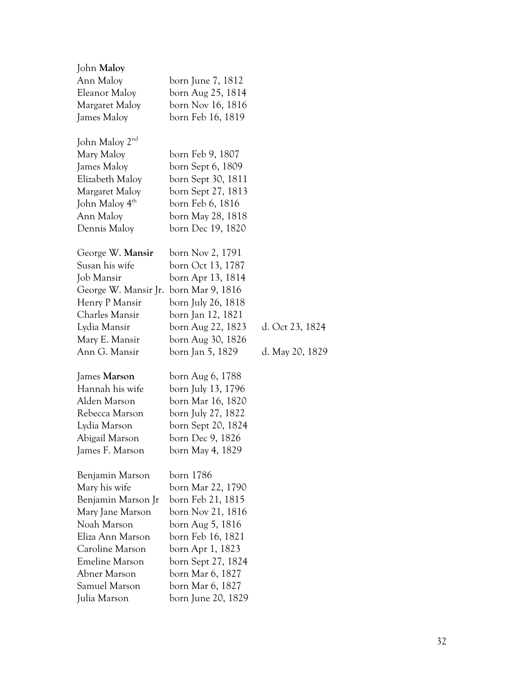| John Maloy                      |                    |                 |
|---------------------------------|--------------------|-----------------|
| Ann Maloy                       | born June 7, 1812  |                 |
| Eleanor Maloy                   | born Aug 25, 1814  |                 |
| Margaret Maloy                  | born Nov 16, 1816  |                 |
| James Maloy                     | born Feb 16, 1819  |                 |
|                                 |                    |                 |
| John Maloy 2 <sup>nd</sup>      |                    |                 |
| Mary Maloy                      | born Feb 9, 1807   |                 |
| James Maloy                     | born Sept 6, 1809  |                 |
| Elizabeth Maloy                 | born Sept 30, 1811 |                 |
| Margaret Maloy                  | born Sept 27, 1813 |                 |
| John Maloy 4 <sup>th</sup>      | born Feb 6, 1816   |                 |
| Ann Maloy                       | born May 28, 1818  |                 |
| Dennis Maloy                    | born Dec 19, 1820  |                 |
| George W. Mansir                | born Nov 2, 1791   |                 |
| Susan his wife                  | born Oct 13, 1787  |                 |
| Job Mansir                      | born Apr 13, 1814  |                 |
| George W. Mansir Jr.            | born Mar 9, 1816   |                 |
| Henry P Mansir                  | born July 26, 1818 |                 |
| Charles Mansir                  | born Jan 12, 1821  |                 |
| Lydia Mansir                    | born Aug 22, 1823  | d. Oct 23, 1824 |
| Mary E. Mansir                  | born Aug 30, 1826  |                 |
| Ann G. Mansir                   | born Jan 5, 1829   | d. May 20, 1829 |
|                                 |                    |                 |
| James Marson                    | born Aug 6, 1788   |                 |
| Hannah his wife                 | born July 13, 1796 |                 |
| Alden Marson                    | born Mar 16, 1820  |                 |
| Rebecca Marson                  | born July 27, 1822 |                 |
| Lydia Marson                    | born Sept 20, 1824 |                 |
| Abigail Marson                  | born Dec 9, 1826   |                 |
| James F. Marson                 | born May 4, 1829   |                 |
|                                 | born 1786          |                 |
| Benjamin Marson                 |                    |                 |
| Mary his wife                   | born Mar 22, 1790  |                 |
| Benjamin Marson Jr              | born Feb 21, 1815  |                 |
| Mary Jane Marson<br>Noah Marson | born Nov 21, 1816  |                 |
|                                 | born Aug 5, 1816   |                 |
| Eliza Ann Marson                | born Feb 16, 1821  |                 |
| Caroline Marson                 | born Apr 1, 1823   |                 |
| <b>Emeline Marson</b>           | born Sept 27, 1824 |                 |
| Abner Marson                    | born Mar 6, 1827   |                 |
| Samuel Marson                   | born Mar 6, 1827   |                 |
| Julia Marson                    | born June 20, 1829 |                 |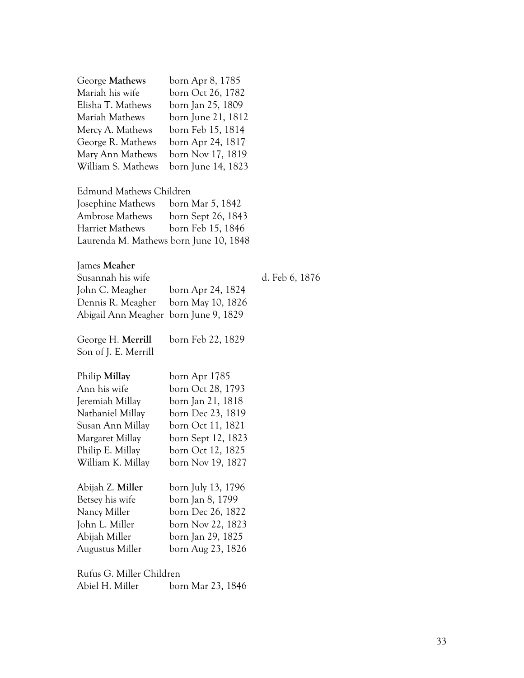| George Mathews     | born Apr 8, 1785   |
|--------------------|--------------------|
| Mariah his wife    | born Oct 26, 1782  |
| Elisha T. Mathews  | born Jan 25, 1809  |
| Mariah Mathews     | born June 21, 1812 |
| Mercy A. Mathews   | born Feb 15, 1814  |
| George R. Mathews  | born Apr 24, 1817  |
| Mary Ann Mathews   | born Nov 17, 1819  |
| William S. Mathews | born June 14, 1823 |

Edmund Mathews Children

| Josephine Mathews                      | born Mar 5, 1842   |
|----------------------------------------|--------------------|
| <b>Ambrose Mathews</b>                 | born Sept 26, 1843 |
| <b>Harriet Mathews</b>                 | born Feb 15, 1846  |
| Laurenda M. Mathews born June 10, 1848 |                    |

# James **Meaher**

| Susannah his wife                     |                   | d. Feb 6, 1876 |
|---------------------------------------|-------------------|----------------|
| John C. Meagher                       | born Apr 24, 1824 |                |
| Dennis R. Meagher born May 10, 1826   |                   |                |
| Abigail Ann Meagher born June 9, 1829 |                   |                |

George H. **Merrill** born Feb 22, 1829 Son of J. E. Merrill

#### Philip **Millay** born Apr 1785

| Ann his wife      | born Oct 28, 1793  |
|-------------------|--------------------|
| Jeremiah Millay   | born Jan 21, 1818  |
| Nathaniel Millay  | born Dec 23, 1819  |
| Susan Ann Millay  | born Oct 11, 1821  |
| Margaret Millay   | born Sept 12, 1823 |
| Philip E. Millay  | born Oct 12, 1825  |
| William K. Millay | born Nov 19, 1827  |
|                   |                    |
| Abijah Z. Miller  | born July 13, 1796 |
|                   |                    |

| born Jan 8, 1799  |
|-------------------|
| born Dec 26, 1822 |
| born Nov 22, 1823 |
| born Jan 29, 1825 |
| born Aug 23, 1826 |
|                   |

Rufus G. Miller Children Abiel H. Miller born Mar 23, 1846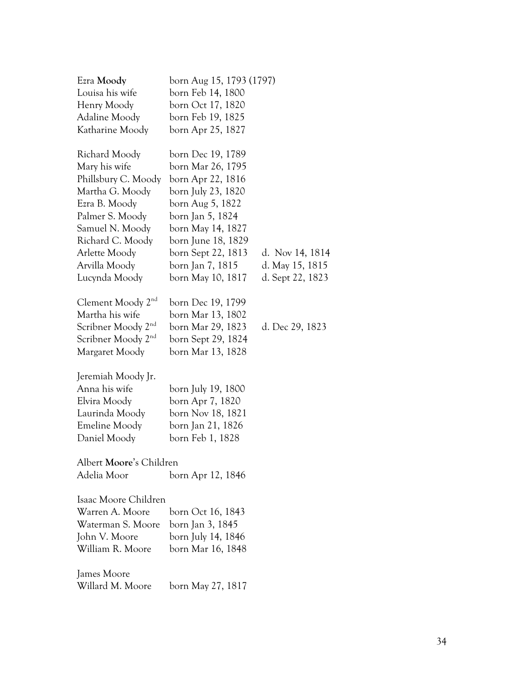| Ezra Moody                     | born Aug 15, 1793 (1797) |                  |
|--------------------------------|--------------------------|------------------|
| Louisa his wife                | born Feb 14, 1800        |                  |
| Henry Moody                    | born Oct 17, 1820        |                  |
| Adaline Moody                  | born Feb 19, 1825        |                  |
| Katharine Moody                | born Apr 25, 1827        |                  |
| Richard Moody                  | born Dec 19, 1789        |                  |
| Mary his wife                  | born Mar 26, 1795        |                  |
| Phillsbury C. Moody            | born Apr 22, 1816        |                  |
| Martha G. Moody                | born July 23, 1820       |                  |
| Ezra B. Moody                  | born Aug 5, 1822         |                  |
| Palmer S. Moody                | born Jan 5, 1824         |                  |
| Samuel N. Moody                | born May 14, 1827        |                  |
| Richard C. Moody               | born June 18, 1829       |                  |
| Arlette Moody                  | born Sept 22, 1813       | d. Nov 14, 1814  |
| Arvilla Moody                  | born Jan 7, 1815         | d. May 15, 1815  |
| Lucynda Moody                  | born May 10, 1817        | d. Sept 22, 1823 |
| Clement Moody 2 <sup>nd</sup>  | born Dec 19, 1799        |                  |
| Martha his wife                | born Mar 13, 1802        |                  |
| Scribner Moody 2 <sup>nd</sup> | born Mar 29, 1823        | d. Dec 29, 1823  |
| Scribner Moody 2 <sup>nd</sup> | born Sept 29, 1824       |                  |
| Margaret Moody                 | born Mar 13, 1828        |                  |
| Jeremiah Moody Jr.             |                          |                  |
| Anna his wife                  | born July 19, 1800       |                  |
| Elvira Moody                   | born Apr 7, 1820         |                  |
| Laurinda Moody                 | born Nov 18, 1821        |                  |
| Emeline Moody                  | born Jan 21, 1826        |                  |
| Daniel Moody                   | born Feb 1, 1828         |                  |
| Albert Moore's Children        |                          |                  |
| Adelia Moor                    | born Apr 12, 1846        |                  |
| Isaac Moore Children           |                          |                  |
| Warren A. Moore                | born Oct 16, 1843        |                  |
| Waterman S. Moore              | born Jan 3, 1845         |                  |
| John V. Moore                  | born July 14, 1846       |                  |
| William R. Moore               | born Mar 16, 1848        |                  |
| James Moore                    |                          |                  |
| Willard M. Moore               | born May 27, 1817        |                  |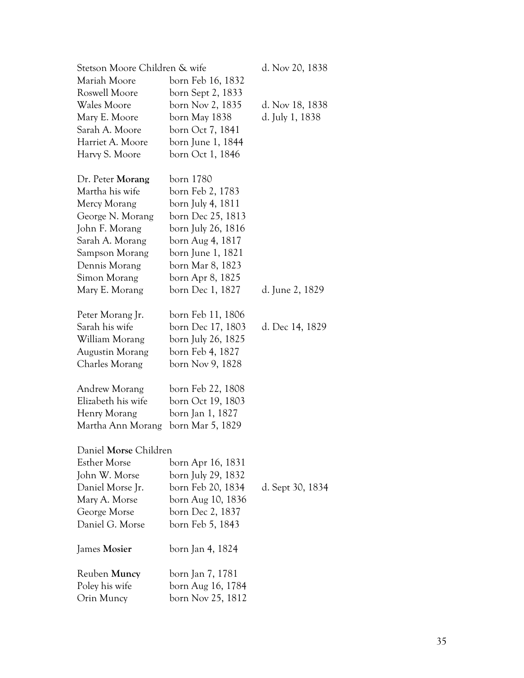| Stetson Moore Children & wife |                    | d. Nov 20, 1838  |
|-------------------------------|--------------------|------------------|
| Mariah Moore                  | born Feb 16, 1832  |                  |
| Roswell Moore                 | born Sept 2, 1833  |                  |
| Wales Moore                   | born Nov 2, 1835   | d. Nov 18, 1838  |
| Mary E. Moore                 | born May 1838      | d. July 1, 1838  |
| Sarah A. Moore                | born Oct 7, 1841   |                  |
| Harriet A. Moore              | born June 1, 1844  |                  |
| Harvy S. Moore                | born Oct 1, 1846   |                  |
| Dr. Peter Morang              | born 1780          |                  |
| Martha his wife               | born Feb 2, 1783   |                  |
| Mercy Morang                  | born July 4, 1811  |                  |
| George N. Morang              | born Dec 25, 1813  |                  |
| John F. Morang                | born July 26, 1816 |                  |
| Sarah A. Morang               | born Aug 4, 1817   |                  |
| Sampson Morang                | born June 1, 1821  |                  |
| Dennis Morang                 | born Mar 8, 1823   |                  |
| Simon Morang                  | born Apr 8, 1825   |                  |
| Mary E. Morang                | born Dec 1, 1827   | d. June 2, 1829  |
| Peter Morang Jr.              | born Feb 11, 1806  |                  |
| Sarah his wife                | born Dec 17, 1803  | d. Dec 14, 1829  |
| William Morang                | born July 26, 1825 |                  |
| Augustin Morang               | born Feb 4, 1827   |                  |
| Charles Morang                | born Nov 9, 1828   |                  |
| Andrew Morang                 | born Feb 22, 1808  |                  |
| Elizabeth his wife            | born Oct 19, 1803  |                  |
| Henry Morang                  | born Jan 1, 1827   |                  |
| Martha Ann Morang             | born Mar 5, 1829   |                  |
| Daniel Morse Children         |                    |                  |
| <b>Esther Morse</b>           | born Apr 16, 1831  |                  |
| John W. Morse                 | born July 29, 1832 |                  |
| Daniel Morse Jr.              | born Feb 20, 1834  | d. Sept 30, 1834 |
| Mary A. Morse                 | born Aug 10, 1836  |                  |
| George Morse                  | born Dec 2, 1837   |                  |
| Daniel G. Morse               | born Feb 5, 1843   |                  |
| James Mosier                  | born Jan 4, 1824   |                  |
| Reuben Muncy                  | born Jan 7, 1781   |                  |
| Poley his wife                | born Aug 16, 1784  |                  |
| Orin Muncy                    | born Nov 25, 1812  |                  |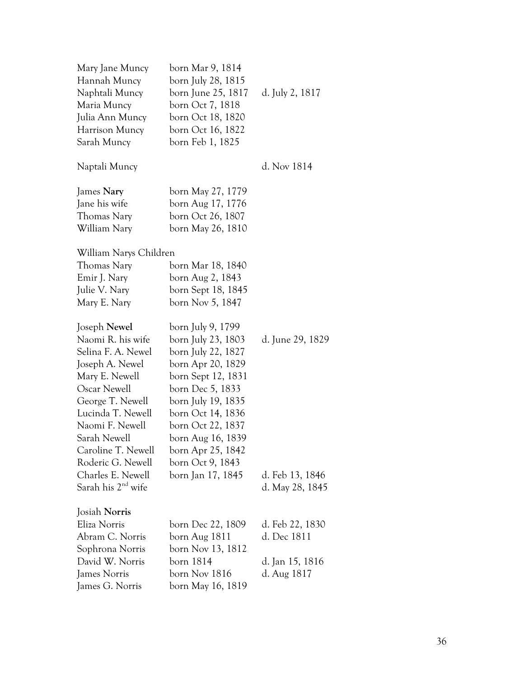| Mary Jane Muncy                | born Mar 9, 1814   |                  |
|--------------------------------|--------------------|------------------|
| Hannah Muncy                   | born July 28, 1815 |                  |
| Naphtali Muncy                 | born June 25, 1817 | d. July 2, 1817  |
| Maria Muncy                    | born Oct 7, 1818   |                  |
| Julia Ann Muncy                | born Oct 18, 1820  |                  |
| Harrison Muncy                 | born Oct 16, 1822  |                  |
| Sarah Muncy                    | born Feb 1, 1825   |                  |
| Naptali Muncy                  |                    | d. Nov 1814      |
| James Nary                     | born May 27, 1779  |                  |
| Jane his wife                  | born Aug 17, 1776  |                  |
| Thomas Nary                    | born Oct 26, 1807  |                  |
| William Nary                   | born May 26, 1810  |                  |
| William Narys Children         |                    |                  |
| Thomas Nary                    | born Mar 18, 1840  |                  |
| Emir J. Nary                   | born Aug 2, 1843   |                  |
| Julie V. Nary                  | born Sept 18, 1845 |                  |
| Mary E. Nary                   | born Nov 5, 1847   |                  |
| Joseph Newel                   | born July 9, 1799  |                  |
| Naomi R. his wife              | born July 23, 1803 | d. June 29, 1829 |
| Selina F. A. Newel             | born July 22, 1827 |                  |
| Joseph A. Newel                | born Apr 20, 1829  |                  |
| Mary E. Newell                 | born Sept 12, 1831 |                  |
| Oscar Newell                   | born Dec 5, 1833   |                  |
| George T. Newell               | born July 19, 1835 |                  |
| Lucinda T. Newell              | born Oct 14, 1836  |                  |
| Naomi F. Newell                | born Oct 22, 1837  |                  |
| Sarah Newell                   | born Aug 16, 1839  |                  |
| Caroline T. Newell             | born Apr 25, 1842  |                  |
| Roderic G. Newell              | born Oct 9, 1843   |                  |
| Charles E. Newell              | born Jan 17, 1845  | d. Feb 13, 1846  |
| Sarah his 2 <sup>nd</sup> wife |                    | d. May 28, 1845  |
| Josiah Norris                  |                    |                  |
| Eliza Norris                   | born Dec 22, 1809  | d. Feb 22, 1830  |
| Abram C. Norris                | born Aug 1811      | d. Dec 1811      |
| Sophrona Norris                | born Nov 13, 1812  |                  |
| David W. Norris                | born 1814          | d. Jan 15, 1816  |
| James Norris                   | born Nov 1816      | d. Aug 1817      |
| James G. Norris                | born May 16, 1819  |                  |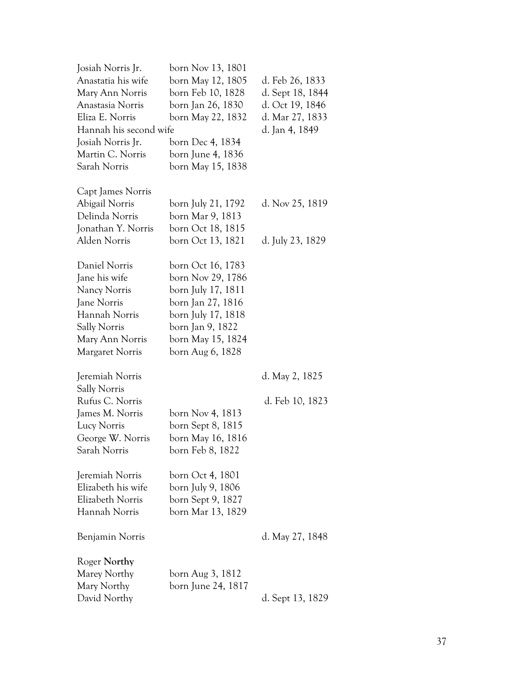| Josiah Norris Jr.      | born Nov 13, 1801  |                  |
|------------------------|--------------------|------------------|
| Anastatia his wife     | born May 12, 1805  | d. Feb 26, 1833  |
| Mary Ann Norris        | born Feb 10, 1828  | d. Sept 18, 1844 |
| Anastasia Norris       | born Jan 26, 1830  | d. Oct 19, 1846  |
| Eliza E. Norris        | born May 22, 1832  | d. Mar 27, 1833  |
| Hannah his second wife |                    | d. Jan 4, 1849   |
| Josiah Norris Jr.      | born Dec 4, 1834   |                  |
| Martin C. Norris       | born June 4, 1836  |                  |
| Sarah Norris           | born May 15, 1838  |                  |
|                        |                    |                  |
| Capt James Norris      |                    |                  |
| Abigail Norris         | born July 21, 1792 | d. Nov 25, 1819  |
| Delinda Norris         | born Mar 9, 1813   |                  |
| Jonathan Y. Norris     | born Oct 18, 1815  |                  |
| Alden Norris           | born Oct 13, 1821  | d. July 23, 1829 |
|                        |                    |                  |
| Daniel Norris          | born Oct 16, 1783  |                  |
| Jane his wife          | born Nov 29, 1786  |                  |
| Nancy Norris           | born July 17, 1811 |                  |
| Jane Norris            | born Jan 27, 1816  |                  |
| Hannah Norris          | born July 17, 1818 |                  |
| <b>Sally Norris</b>    | born Jan 9, 1822   |                  |
| Mary Ann Norris        | born May 15, 1824  |                  |
| Margaret Norris        | born Aug 6, 1828   |                  |
|                        |                    |                  |
| Jeremiah Norris        |                    | d. May 2, 1825   |
| Sally Norris           |                    |                  |
| Rufus C. Norris        |                    | d. Feb 10, 1823  |
| James M. Norris        | born Nov 4, 1813   |                  |
| Lucy Norris            | born Sept 8, 1815  |                  |
| George W. Norris       | born May 16, 1816  |                  |
| Sarah Norris           | born Feb 8, 1822   |                  |
|                        |                    |                  |
| Jeremiah Norris        | born Oct 4, 1801   |                  |
| Elizabeth his wife     | born July 9, 1806  |                  |
| Elizabeth Norris       | born Sept 9, 1827  |                  |
| Hannah Norris          | born Mar 13, 1829  |                  |
| Benjamin Norris        |                    | d. May 27, 1848  |
|                        |                    |                  |
| Roger Northy           |                    |                  |
| Marey Northy           | born Aug 3, 1812   |                  |
| Mary Northy            | born June 24, 1817 |                  |
| David Northy           |                    | d. Sept 13, 1829 |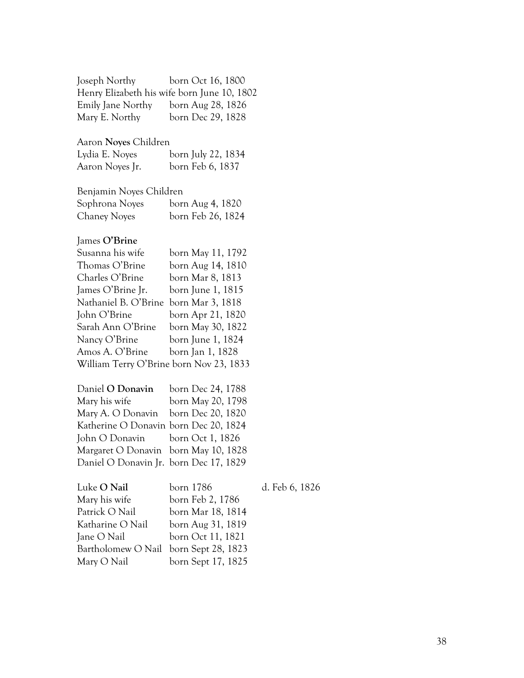| Joseph Northy                               | born Oct 16, 1800  |   |
|---------------------------------------------|--------------------|---|
| Henry Elizabeth his wife born June 10, 1802 |                    |   |
| Emily Jane Northy                           | born Aug 28, 1826  |   |
| Mary E. Northy                              | born Dec 29, 1828  |   |
|                                             |                    |   |
| Aaron Noyes Children                        |                    |   |
| Lydia E. Noyes                              | born July 22, 1834 |   |
| Aaron Noyes Jr.                             | born Feb 6, 1837   |   |
|                                             |                    |   |
| Benjamin Noyes Children                     |                    |   |
| Sophrona Noyes                              | born Aug 4, 1820   |   |
| <b>Chaney Noyes</b>                         | born Feb 26, 1824  |   |
|                                             |                    |   |
| James O'Brine                               |                    |   |
| Susanna his wife                            | born May 11, 1792  |   |
| Thomas O'Brine                              | born Aug 14, 1810  |   |
| Charles O'Brine                             | born Mar 8, 1813   |   |
| James O'Brine Jr.                           | born June 1, 1815  |   |
| Nathaniel B. O'Brine                        | born Mar 3, 1818   |   |
| John O'Brine                                | born Apr 21, 1820  |   |
| Sarah Ann O'Brine                           | born May 30, 1822  |   |
| Nancy O'Brine                               | born June 1, 1824  |   |
| Amos A. O'Brine                             | born Jan 1, 1828   |   |
| William Terry O'Brine born Nov 23, 1833     |                    |   |
|                                             |                    |   |
| Daniel O Donavin                            | born Dec 24, 1788  |   |
| Mary his wife                               | born May 20, 1798  |   |
| Mary A. O Donavin                           | born Dec 20, 1820  |   |
| Katherine O Donavin born Dec 20, 1824       |                    |   |
| John O Donavin                              | born Oct 1, 1826   |   |
| Margaret O Donavin                          | born May 10, 1828  |   |
| Daniel O Donavin Jr. born Dec 17, 1829      |                    |   |
|                                             |                    |   |
| Luke O Nail                                 | born 1786          | C |
| Mary his wife                               | born Feb 2, 1786   |   |
| Patrick O Nail                              | born Mar 18, 1814  |   |
| Katharine O Nail                            | born Aug 31, 1819  |   |
| Jane O Nail                                 | born Oct 11, 1821  |   |
| Bartholomew O Nail                          | born Sept 28, 1823 |   |
| Mary O Nail                                 | born Sept 17, 1825 |   |

d. Feb 6, 1826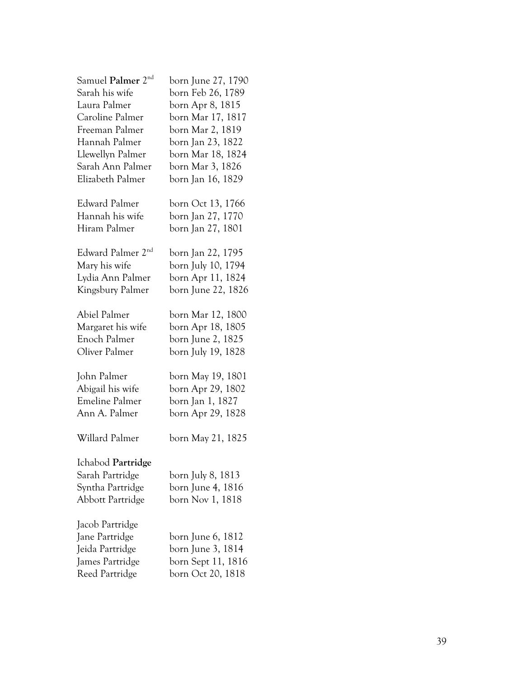| Samuel <b>Palmer</b> 2 $^{\rm{nd}}$ | born June 27, 1790 |
|-------------------------------------|--------------------|
| Sarah his wife                      | born Feb 26, 1789  |
| Laura Palmer                        | born Apr 8, 1815   |
| Caroline Palmer                     | born Mar 17, 1817  |
| Freeman Palmer                      | born Mar 2, 1819   |
| Hannah Palmer                       | born Jan 23, 1822  |
| Llewellyn Palmer                    | born Mar 18, 1824  |
| Sarah Ann Palmer                    | born Mar 3, 1826   |
| Elizabeth Palmer                    | born Jan 16, 1829  |
| Edward Palmer                       | born Oct 13, 1766  |
| Hannah his wife                     | born Jan 27, 1770  |
| Hiram Palmer                        | born Jan 27, 1801  |
| Edward Palmer 2 <sup>nd</sup>       | born Jan 22, 1795  |
| Mary his wife                       | born July 10, 1794 |
| Lydia Ann Palmer                    | born Apr 11, 1824  |
| Kingsbury Palmer                    | born June 22, 1826 |
| Abiel Palmer                        | born Mar 12, 1800  |
| Margaret his wife                   | born Apr 18, 1805  |
| Enoch Palmer                        | born June 2, 1825  |
| Oliver Palmer                       | born July 19, 1828 |
| John Palmer                         | born May 19, 1801  |
| Abigail his wife                    | born Apr 29, 1802  |
| <b>Emeline Palmer</b>               | born Jan 1, 1827   |
| Ann A. Palmer                       | born Apr 29, 1828  |
| Willard Palmer                      | born May 21, 1825  |
| Ichabod Partridge                   |                    |
| Sarah Partridge                     | born July 8, 1813  |
| Syntha Partridge                    | born June 4, 1816  |
| Abbott Partridge                    | born Nov 1, 1818   |
| Jacob Partridge                     |                    |
| Jane Partridge                      | born June 6, 1812  |
| Jeida Partridge                     | born June 3, 1814  |
| James Partridge                     | born Sept 11, 1816 |
| Reed Partridge                      | born Oct 20, 1818  |
|                                     |                    |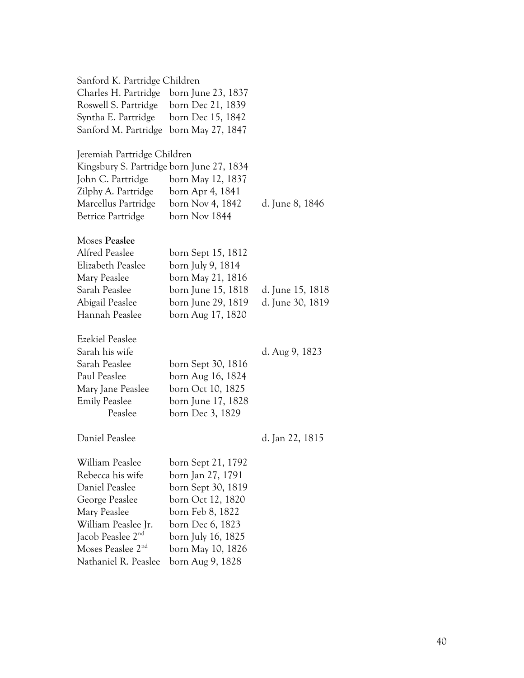| Sanford K. Partridge Children             |                    |                  |
|-------------------------------------------|--------------------|------------------|
| Charles H. Partridge                      | born June 23, 1837 |                  |
| Roswell S. Partridge                      | born Dec 21, 1839  |                  |
| Syntha E. Partridge                       | born Dec 15, 1842  |                  |
| Sanford M. Partridge born May 27, 1847    |                    |                  |
| Jeremiah Partridge Children               |                    |                  |
| Kingsbury S. Partridge born June 27, 1834 |                    |                  |
| John C. Partridge                         | born May 12, 1837  |                  |
| Zilphy A. Partridge                       | born Apr 4, 1841   |                  |
| Marcellus Partridge                       | born Nov 4, 1842   | d. June 8, 1846  |
| Betrice Partridge                         | born Nov 1844      |                  |
| Moses Peaslee                             |                    |                  |
| Alfred Peaslee                            | born Sept 15, 1812 |                  |
| Elizabeth Peaslee                         | born July 9, 1814  |                  |
| Mary Peaslee                              | born May 21, 1816  |                  |
| Sarah Peaslee                             | born June 15, 1818 | d. June 15, 1818 |
| Abigail Peaslee                           | born June 29, 1819 | d. June 30, 1819 |
| Hannah Peaslee                            | born Aug 17, 1820  |                  |
| <b>Ezekiel Peaslee</b>                    |                    |                  |
| Sarah his wife                            |                    | d. Aug 9, 1823   |
| Sarah Peaslee                             | born Sept 30, 1816 |                  |
| Paul Peaslee                              | born Aug 16, 1824  |                  |
| Mary Jane Peaslee                         | born Oct 10, 1825  |                  |
| <b>Emily Peaslee</b>                      | born June 17, 1828 |                  |
| Peaslee                                   | born Dec 3, 1829   |                  |
| Daniel Peaslee                            |                    | d. Jan 22, 1815  |
| William Peaslee                           | born Sept 21, 1792 |                  |
| Rebecca his wife                          | born Jan 27, 1791  |                  |
| Daniel Peaslee                            | born Sept 30, 1819 |                  |
| George Peaslee                            | born Oct 12, 1820  |                  |
| Mary Peaslee                              | born Feb 8, 1822   |                  |
| William Peaslee Jr.                       | born Dec 6, 1823   |                  |
| Jacob Peaslee 2 <sup>nd</sup>             | born July 16, 1825 |                  |
| Moses Peaslee 2 <sup>nd</sup>             | born May 10, 1826  |                  |
| Nathaniel R. Peaslee                      | born Aug 9, 1828   |                  |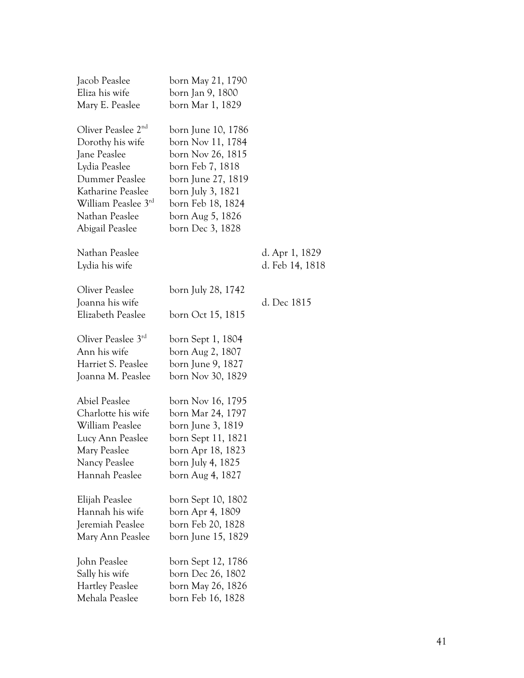| Jacob Peaslee                  | born May 21, 1790  |                 |
|--------------------------------|--------------------|-----------------|
| Eliza his wife                 | born Jan 9, 1800   |                 |
| Mary E. Peaslee                | born Mar 1, 1829   |                 |
| Oliver Peaslee 2 <sup>nd</sup> | born June 10, 1786 |                 |
| Dorothy his wife               | born Nov 11, 1784  |                 |
| Jane Peaslee                   | born Nov 26, 1815  |                 |
| Lydia Peaslee                  | born Feb 7, 1818   |                 |
| Dummer Peaslee                 | born June 27, 1819 |                 |
| Katharine Peaslee              | born July 3, 1821  |                 |
| William Peaslee 3rd            | born Feb 18, 1824  |                 |
| Nathan Peaslee                 | born Aug 5, 1826   |                 |
| Abigail Peaslee                | born Dec 3, 1828   |                 |
| Nathan Peaslee                 |                    | d. Apr 1, 1829  |
| Lydia his wife                 |                    | d. Feb 14, 1818 |
| Oliver Peaslee                 | born July 28, 1742 |                 |
| Joanna his wife                |                    | d. Dec 1815     |
| Elizabeth Peaslee              | born Oct 15, 1815  |                 |
| Oliver Peaslee 3rd             | born Sept 1, 1804  |                 |
| Ann his wife                   | born Aug 2, 1807   |                 |
| Harriet S. Peaslee             | born June 9, 1827  |                 |
| Joanna M. Peaslee              | born Nov 30, 1829  |                 |
| <b>Abiel Peaslee</b>           | born Nov 16, 1795  |                 |
| Charlotte his wife             | born Mar 24, 1797  |                 |
| William Peaslee                | born June 3, 1819  |                 |
| Lucy Ann Peaslee               | born Sept 11, 1821 |                 |
| Mary Peaslee                   | born Apr 18, 1823  |                 |
| Nancy Peaslee                  | born July 4, 1825  |                 |
| Hannah Peaslee                 | born Aug 4, 1827   |                 |
| Elijah Peaslee                 | born Sept 10, 1802 |                 |
| Hannah his wife                | born Apr 4, 1809   |                 |
| Jeremiah Peaslee               | born Feb 20, 1828  |                 |
| Mary Ann Peaslee               | born June 15, 1829 |                 |
| John Peaslee                   | born Sept 12, 1786 |                 |
| Sally his wife                 | born Dec 26, 1802  |                 |
| <b>Hartley Peaslee</b>         | born May 26, 1826  |                 |
| Mehala Peaslee                 | born Feb 16, 1828  |                 |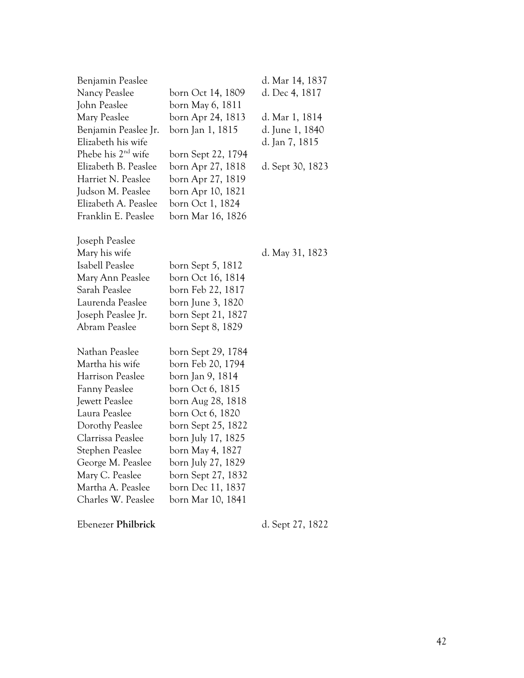| Benjamin Peaslee               |                    | d. Mar 14, 1837  |
|--------------------------------|--------------------|------------------|
| Nancy Peaslee                  | born Oct 14, 1809  | d. Dec 4, 1817   |
| John Peaslee                   | born May 6, 1811   |                  |
| Mary Peaslee                   | born Apr 24, 1813  | d. Mar 1, 1814   |
| Benjamin Peaslee Jr.           | born Jan 1, 1815   | d. June 1, 1840  |
| Elizabeth his wife             |                    | d. Jan 7, 1815   |
| Phebe his 2 <sup>nd</sup> wife | born Sept 22, 1794 |                  |
| Elizabeth B. Peaslee           | born Apr 27, 1818  | d. Sept 30, 1823 |
| Harriet N. Peaslee             | born Apr 27, 1819  |                  |
| Judson M. Peaslee              | born Apr 10, 1821  |                  |
| Elizabeth A. Peaslee           | born Oct 1, 1824   |                  |
| Franklin E. Peaslee            | born Mar 16, 1826  |                  |
| Joseph Peaslee                 |                    |                  |
| Mary his wife                  |                    | d. May 31, 1823  |
| Isabell Peaslee                | born Sept 5, 1812  |                  |
| Mary Ann Peaslee               | born Oct 16, 1814  |                  |
| Sarah Peaslee                  | born Feb 22, 1817  |                  |
| Laurenda Peaslee               | born June 3, 1820  |                  |
| Joseph Peaslee Jr.             | born Sept 21, 1827 |                  |
| Abram Peaslee                  | born Sept 8, 1829  |                  |
| Nathan Peaslee                 | born Sept 29, 1784 |                  |
| Martha his wife                | born Feb 20, 1794  |                  |
| Harrison Peaslee               | born Jan 9, 1814   |                  |
| <b>Fanny Peaslee</b>           | born Oct 6, 1815   |                  |
| Jewett Peaslee                 | born Aug 28, 1818  |                  |
| Laura Peaslee                  | born Oct 6, 1820   |                  |
| Dorothy Peaslee                | born Sept 25, 1822 |                  |
| Clarrissa Peaslee              | born July 17, 1825 |                  |
| Stephen Peaslee                | born May 4, 1827   |                  |
| George M. Peaslee              | born July 27, 1829 |                  |
| Mary C. Peaslee                | born Sept 27, 1832 |                  |
| Martha A. Peaslee              | born Dec 11, 1837  |                  |
| Charles W. Peaslee             | born Mar 10, 1841  |                  |

Ebenezer **Philbrick** d. Sept 27, 1822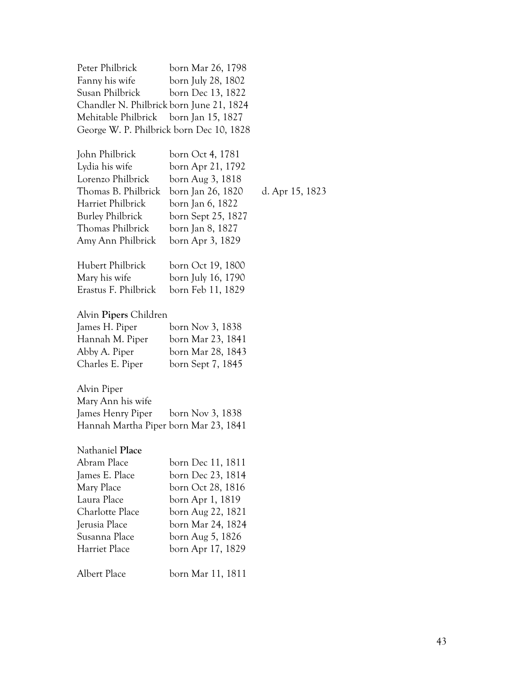| Peter Philbrick                          | born Mar 26, 1798  |
|------------------------------------------|--------------------|
| Fanny his wife                           | born July 28, 1802 |
| Susan Philbrick                          | born Dec 13, 1822  |
| Chandler N. Philbrick born June 21, 1824 |                    |
| Mehitable Philbrick born Jan 15, 1827    |                    |
| George W. P. Philbrick born Dec 10, 1828 |                    |
|                                          |                    |

| John Philbrick<br>Lydia his wife<br>Lorenzo Philbrick<br>Thomas B. Philbrick<br>Harriet Philbrick<br><b>Burley Philbrick</b><br>Thomas Philbrick<br>Amy Ann Philbrick | born Oct 4, 1781<br>born Apr 21, 1792<br>born Aug 3, 1818<br>born Jan 26, 1820<br>born Jan 6, 1822<br>born Sept 25, 1827<br>born Jan 8, 1827<br>born Apr 3, 1829   | d. Apr 15, 1823 |
|-----------------------------------------------------------------------------------------------------------------------------------------------------------------------|--------------------------------------------------------------------------------------------------------------------------------------------------------------------|-----------------|
| Hubert Philbrick<br>Mary his wife<br>Erastus F. Philbrick                                                                                                             | born Oct 19, 1800<br>born July 16, 1790<br>born Feb 11, 1829                                                                                                       |                 |
| Alvin Pipers Children<br>James H. Piper<br>Hannah M. Piper<br>Abby A. Piper<br>Charles E. Piper                                                                       | born Nov 3, 1838<br>born Mar 23, 1841<br>born Mar 28, 1843<br>born Sept 7, 1845                                                                                    |                 |
| Alvin Piper<br>Mary Ann his wife<br>James Henry Piper<br>Hannah Martha Piper born Mar 23, 1841                                                                        | born Nov 3, 1838                                                                                                                                                   |                 |
| Nathaniel Place<br>Abram Place<br>James E. Place<br>Mary Place<br>Laura Place<br>Charlotte Place<br>Jerusia Place<br>Susanna Place<br>Harriet Place                   | born Dec 11, 1811<br>born Dec 23, 1814<br>born Oct 28, 1816<br>born Apr 1, 1819<br>born Aug 22, 1821<br>born Mar 24, 1824<br>born Aug 5, 1826<br>born Apr 17, 1829 |                 |
| Albert Place                                                                                                                                                          | born Mar 11, 1811                                                                                                                                                  |                 |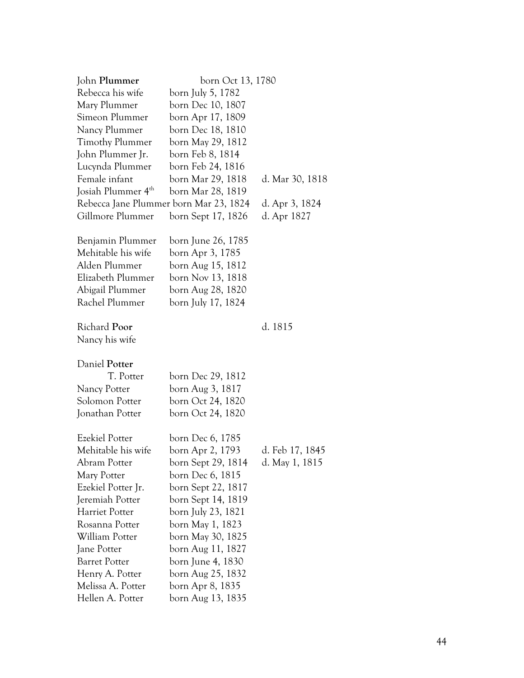| John Plummer                           | born Oct 13, 1780  |                 |
|----------------------------------------|--------------------|-----------------|
| Rebecca his wife                       | born July 5, 1782  |                 |
| Mary Plummer                           | born Dec 10, 1807  |                 |
| Simeon Plummer                         | born Apr 17, 1809  |                 |
| Nancy Plummer                          | born Dec 18, 1810  |                 |
| <b>Timothy Plummer</b>                 | born May 29, 1812  |                 |
| John Plummer Jr.                       | born Feb 8, 1814   |                 |
| Lucynda Plummer                        | born Feb 24, 1816  |                 |
| Female infant                          | born Mar 29, 1818  | d. Mar 30, 1818 |
| Josiah Plummer 4 <sup>th</sup>         | born Mar 28, 1819  |                 |
| Rebecca Jane Plummer born Mar 23, 1824 |                    | d. Apr 3, 1824  |
| Gillmore Plummer                       | born Sept 17, 1826 | d. Apr 1827     |
|                                        |                    |                 |
| Benjamin Plummer                       | born June 26, 1785 |                 |
| Mehitable his wife                     | born Apr 3, 1785   |                 |
| Alden Plummer                          | born Aug 15, 1812  |                 |
| Elizabeth Plummer                      | born Nov 13, 1818  |                 |
| Abigail Plummer                        | born Aug 28, 1820  |                 |
| Rachel Plummer                         | born July 17, 1824 |                 |
|                                        |                    |                 |
| Richard Poor                           |                    | d. 1815         |
| Nancy his wife                         |                    |                 |
|                                        |                    |                 |
| Daniel Potter                          |                    |                 |
| T. Potter                              | born Dec 29, 1812  |                 |
| Nancy Potter                           | born Aug 3, 1817   |                 |
| Solomon Potter                         | born Oct 24, 1820  |                 |
| Jonathan Potter                        | born Oct 24, 1820  |                 |
|                                        |                    |                 |
| <b>Ezekiel Potter</b>                  | born Dec 6, 1785   |                 |
| Mehitable his wife                     | born Apr 2, 1793   | d. Feb 17, 1845 |
| Abram Potter                           | born Sept 29, 1814 | d. May 1, 1815  |
| Mary Potter                            | born Dec 6, 1815   |                 |
| Ezekiel Potter Jr.                     | born Sept 22, 1817 |                 |
| Jeremiah Potter                        | born Sept 14, 1819 |                 |
| <b>Harriet Potter</b>                  | born July 23, 1821 |                 |
| Rosanna Potter                         | born May 1, 1823   |                 |
| William Potter                         | born May 30, 1825  |                 |
| Jane Potter                            | born Aug 11, 1827  |                 |
| <b>Barret Potter</b>                   | born June 4, 1830  |                 |
| Henry A. Potter                        | born Aug 25, 1832  |                 |
| Melissa A. Potter                      | born Apr 8, 1835   |                 |
| Hellen A. Potter                       | born Aug 13, 1835  |                 |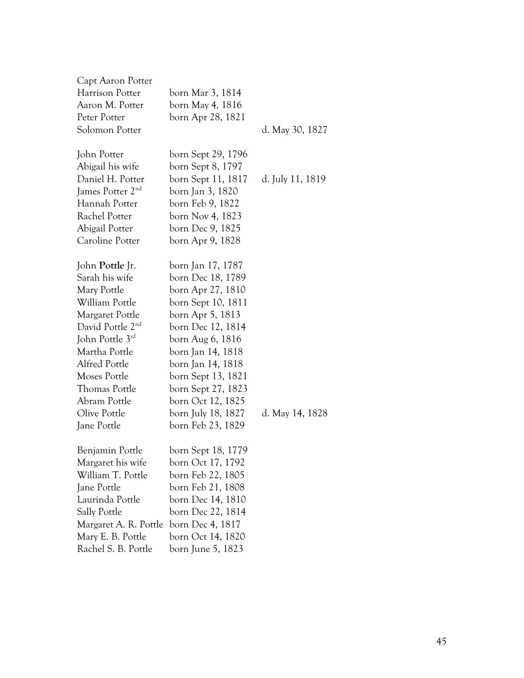| Capt Aaron Potter            |                    |                  |
|------------------------------|--------------------|------------------|
| Harrison Potter              | born Mar 3, 1814   |                  |
| Aaron M. Potter              | born May 4, 1816   |                  |
| Peter Potter                 | born Apr 28, 1821  |                  |
| Solomon Potter               |                    | d. May 30, 1827  |
|                              |                    |                  |
| John Potter                  | born Sept 29, 1796 |                  |
| Abigail his wife             | born Sept 8, 1797  |                  |
| Daniel H. Potter             | born Sept 11, 1817 | d. July 11, 1819 |
| James Potter 2 <sup>nd</sup> | born Jan 3, 1820   |                  |
| Hannah Potter                | born Feb 9, 1822   |                  |
| Rachel Potter                | born Nov 4, 1823   |                  |
| Abigail Potter               | born Dec 9, 1825   |                  |
| Caroline Potter              | born Apr 9, 1828   |                  |
| John Pottle Jr.              | born Jan 17, 1787  |                  |
| Sarah his wife               | born Dec 18, 1789  |                  |
| Mary Pottle                  | born Apr 27, 1810  |                  |
| William Pottle               | born Sept 10, 1811 |                  |
| Margaret Pottle              | born Apr 5, 1813   |                  |
| David Pottle 2 <sup>nd</sup> | born Dec 12, 1814  |                  |
| John Pottle 3rd              | born Aug 6, 1816   |                  |
| Martha Pottle                | born Jan 14, 1818  |                  |
| Alfred Pottle                | born Jan 14, 1818  |                  |
| Moses Pottle                 | born Sept 13, 1821 |                  |
| Thomas Pottle                | born Sept 27, 1823 |                  |
| Abram Pottle                 | born Oct 12, 1825  |                  |
| Olive Pottle                 | born July 18, 1827 | d. May 14, 1828  |
| Jane Pottle                  | born Feb 23, 1829  |                  |
|                              |                    |                  |
| Benjamin Pottle              | born Sept 18, 1779 |                  |
| Margaret his wife            | born Oct 17, 1792  |                  |
| William T. Pottle            | born Feb 22, 1805  |                  |
| Jane Pottle                  | born Feb 21, 1808  |                  |
| Laurinda Pottle              | born Dec 14, 1810  |                  |
| <b>Sally Pottle</b>          | born Dec 22, 1814  |                  |
| Margaret A. R. Pottle        | born Dec 4, 1817   |                  |
| Mary E. B. Pottle            | born Oct 14, 1820  |                  |
| Rachel S. B. Pottle          | born June 5, 1823  |                  |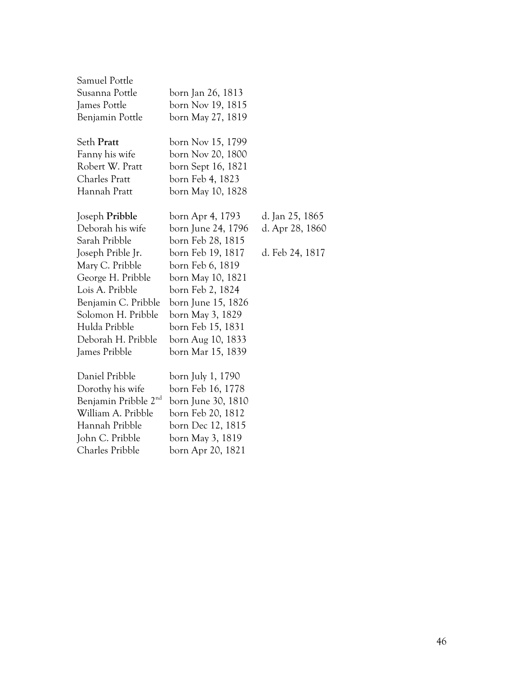| Samuel Pottle                    |                    |                 |
|----------------------------------|--------------------|-----------------|
| Susanna Pottle                   | born Jan 26, 1813  |                 |
| James Pottle                     | born Nov 19, 1815  |                 |
| Benjamin Pottle                  | born May 27, 1819  |                 |
| Seth Pratt                       | born Nov 15, 1799  |                 |
| Fanny his wife                   | born Nov 20, 1800  |                 |
| Robert W. Pratt                  | born Sept 16, 1821 |                 |
| <b>Charles Pratt</b>             | born Feb 4, 1823   |                 |
| Hannah Pratt                     | born May 10, 1828  |                 |
| Joseph Pribble                   | born Apr 4, 1793   | d. Jan 25, 1865 |
| Deborah his wife                 | born June 24, 1796 | d. Apr 28, 1860 |
| Sarah Pribble                    | born Feb 28, 1815  |                 |
| Joseph Prible Jr.                | born Feb 19, 1817  | d. Feb 24, 1817 |
| Mary C. Pribble                  | born Feb 6, 1819   |                 |
| George H. Pribble                | born May 10, 1821  |                 |
| Lois A. Pribble                  | born Feb 2, 1824   |                 |
| Benjamin C. Pribble              | born June 15, 1826 |                 |
| Solomon H. Pribble               | born May 3, 1829   |                 |
| Hulda Pribble                    | born Feb 15, 1831  |                 |
| Deborah H. Pribble               | born Aug 10, 1833  |                 |
| James Pribble                    | born Mar 15, 1839  |                 |
| Daniel Pribble                   | born July 1, 1790  |                 |
| Dorothy his wife                 | born Feb 16, 1778  |                 |
| Benjamin Pribble 2 <sup>nd</sup> | born June 30, 1810 |                 |
| William A. Pribble               | born Feb 20, 1812  |                 |
| Hannah Pribble                   | born Dec 12, 1815  |                 |
| John C. Pribble                  | born May 3, 1819   |                 |
| Charles Pribble                  | born Apr 20, 1821  |                 |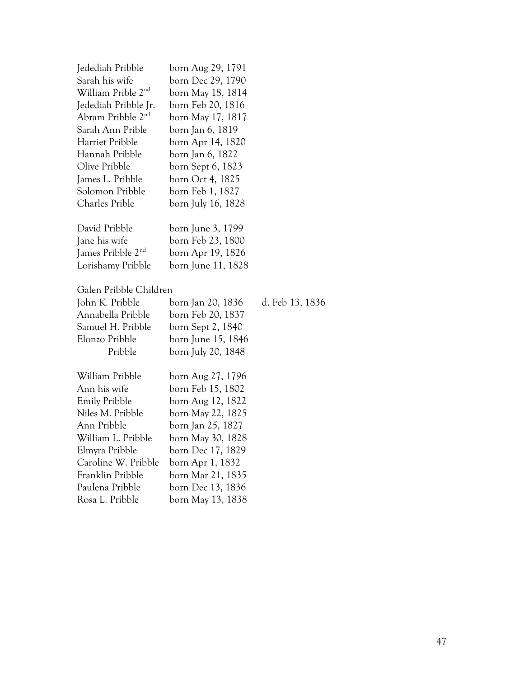| Jedediah Pribble               | born Aug 29, 1791  |                 |
|--------------------------------|--------------------|-----------------|
| Sarah his wife                 | born Dec 29, 1790  |                 |
| William Prible 2 <sup>nd</sup> | born May 18, 1814  |                 |
| Jedediah Pribble Jr.           | born Feb 20, 1816  |                 |
| Abram Pribble 2 <sup>nd</sup>  | born May 17, 1817  |                 |
| Sarah Ann Prible               | born Jan 6, 1819   |                 |
| Harriet Pribble                | born Apr 14, 1820  |                 |
| Hannah Pribble                 | born Jan 6, 1822   |                 |
| Olive Pribble                  | born Sept 6, 1823  |                 |
| James L. Pribble               | born Oct 4, 1825   |                 |
| Solomon Pribble                | born Feb 1, 1827   |                 |
| Charles Prible                 | born July 16, 1828 |                 |
| David Pribble                  | born June 3, 1799  |                 |
| Jane his wife                  | born Feb 23, 1800  |                 |
| James Pribble 2 <sup>nd</sup>  | born Apr 19, 1826  |                 |
| Lorishamy Pribble              | born June 11, 1828 |                 |
| Galen Pribble Children         |                    |                 |
| John K. Pribble                | born Jan 20, 1836  | d. Feb 13, 1836 |
| Annabella Pribble              | born Feb 20, 1837  |                 |
| Samuel H. Pribble              | born Sept 2, 1840  |                 |
| Elonzo Pribble                 | born June 15, 1846 |                 |
| Pribble                        | born July 20, 1848 |                 |
| William Pribble                | born Aug 27, 1796  |                 |
| Ann his wife                   | born Feb 15, 1802  |                 |
| Emily Pribble                  | born Aug 12, 1822  |                 |
| Niles M. Pribble               | born May 22, 1825  |                 |
| Ann Pribble                    | born Jan 25, 1827  |                 |
| William L. Pribble             | born May 30, 1828  |                 |
| Elmyra Pribble                 | born Dec 17, 1829  |                 |
| Caroline W. Pribble            | born Apr 1, 1832   |                 |
| Franklin Pribble               | born Mar 21, 1835  |                 |
| Paulena Pribble                | born Dec 13, 1836  |                 |
| Rosa L. Pribble                | born May 13, 1838  |                 |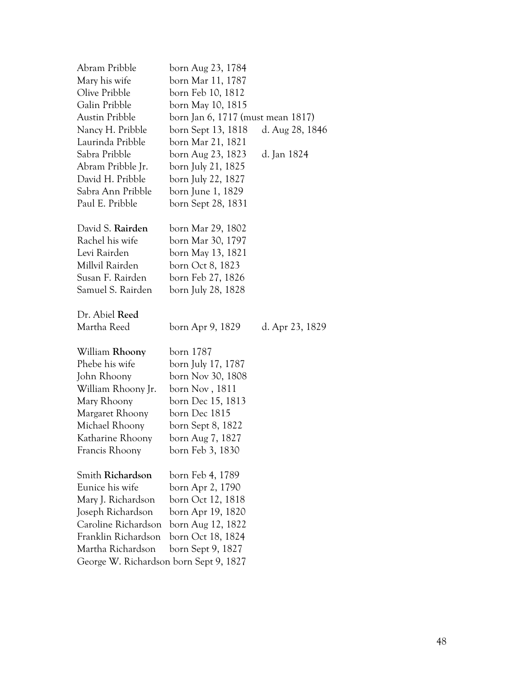| Abram Pribble                          | born Aug 23, 1784                 |                 |  |
|----------------------------------------|-----------------------------------|-----------------|--|
| Mary his wife                          | born Mar 11, 1787                 |                 |  |
| Olive Pribble                          | born Feb 10, 1812                 |                 |  |
| Galin Pribble                          | born May 10, 1815                 |                 |  |
| Austin Pribble                         | born Jan 6, 1717 (must mean 1817) |                 |  |
| Nancy H. Pribble                       | born Sept 13, 1818                | d. Aug 28, 1846 |  |
| Laurinda Pribble                       | born Mar 21, 1821                 |                 |  |
| Sabra Pribble                          | born Aug 23, 1823                 | d. Jan 1824     |  |
| Abram Pribble Jr.                      | born July 21, 1825                |                 |  |
| David H. Pribble                       | born July 22, 1827                |                 |  |
| Sabra Ann Pribble                      | born June 1, 1829                 |                 |  |
| Paul E. Pribble                        | born Sept 28, 1831                |                 |  |
| David S. Rairden                       | born Mar 29, 1802                 |                 |  |
| Rachel his wife                        | born Mar 30, 1797                 |                 |  |
| Levi Rairden                           | born May 13, 1821                 |                 |  |
| Millvil Rairden                        | born Oct 8, 1823                  |                 |  |
| Susan F. Rairden                       | born Feb 27, 1826                 |                 |  |
| Samuel S. Rairden                      | born July 28, 1828                |                 |  |
|                                        |                                   |                 |  |
| Dr. Abiel Reed                         |                                   |                 |  |
| Martha Reed                            | born Apr 9, 1829                  | d. Apr 23, 1829 |  |
| William Rhoony                         | born 1787                         |                 |  |
| Phebe his wife                         | born July 17, 1787                |                 |  |
| John Rhoony                            | born Nov 30, 1808                 |                 |  |
| William Rhoony Jr.                     | born Nov, 1811                    |                 |  |
| Mary Rhoony                            | born Dec 15, 1813                 |                 |  |
| Margaret Rhoony                        | born Dec 1815                     |                 |  |
| Michael Rhoony                         | born Sept 8, 1822                 |                 |  |
| Katharine Rhoony                       | born Aug 7, 1827                  |                 |  |
| Francis Rhoony                         | born Feb 3, 1830                  |                 |  |
| Smith Richardson                       | born Feb 4, 1789                  |                 |  |
| Eunice his wife                        | born Apr 2, 1790                  |                 |  |
| Mary J. Richardson                     | born Oct 12, 1818                 |                 |  |
| Joseph Richardson                      | born Apr 19, 1820                 |                 |  |
| Caroline Richardson                    | born Aug 12, 1822                 |                 |  |
| Franklin Richardson                    | born Oct 18, 1824                 |                 |  |
| Martha Richardson                      | born Sept 9, 1827                 |                 |  |
| George W. Richardson born Sept 9, 1827 |                                   |                 |  |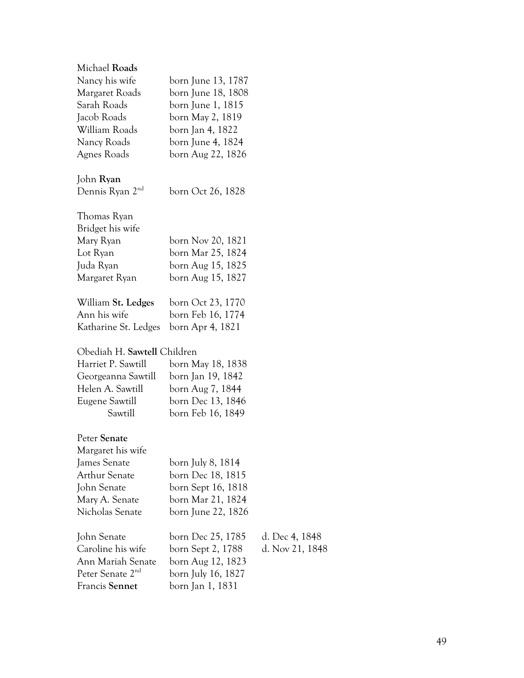| Michael Roads               |                    |    |
|-----------------------------|--------------------|----|
| Nancy his wife              | born June 13, 1787 |    |
| Margaret Roads              | born June 18, 1808 |    |
| Sarah Roads                 | born June 1, 1815  |    |
| Jacob Roads                 | born May 2, 1819   |    |
| William Roads               | born Jan 4, 1822   |    |
| Nancy Roads                 | born June 4, 1824  |    |
| Agnes Roads                 | born Aug 22, 1826  |    |
| John <b>Ryan</b>            |                    |    |
| Dennis Ryan 2 <sup>nd</sup> | born Oct 26, 1828  |    |
| Thomas Ryan                 |                    |    |
| Bridget his wife            |                    |    |
| Mary Ryan                   | born Nov 20, 1821  |    |
| Lot Ryan                    | born Mar 25, 1824  |    |
| Juda Ryan                   | born Aug 15, 1825  |    |
| Margaret Ryan               | born Aug 15, 1827  |    |
| William St. Ledges          | born Oct 23, 1770  |    |
| Ann his wife                | born Feb 16, 1774  |    |
| Katharine St. Ledges        | born Apr 4, 1821   |    |
| Obediah H. Sawtell Children |                    |    |
| Harriet P. Sawtill          | born May 18, 1838  |    |
| Georgeanna Sawtill          | born Jan 19, 1842  |    |
| Helen A. Sawtill            | born Aug 7, 1844   |    |
| Eugene Sawtill              | born Dec 13, 1846  |    |
| Sawtill                     | born Feb 16, 1849  |    |
| Peter Senate                |                    |    |
| Margaret his wife           |                    |    |
| James Senate                | born July 8, 1814  |    |
| <b>Arthur Senate</b>        | born Dec 18, 1815  |    |
| John Senate                 | born Sept 16, 1818 |    |
| Mary A. Senate              | born Mar 21, 1824  |    |
| Nicholas Senate             | born June 22, 1826 |    |
| John Senate                 | born Dec 25, 1785  | d. |
| Caroline his wife           | born Sept 2, 1788  | d. |
| Ann Mariah Senate           | born Aug 12, 1823  |    |

Peter Senate  $2<sup>nd</sup>$  born July 16, 1827 Francis **Sennet** born Jan 1, 1831

Dec 4, 1848 Nov 21, 1848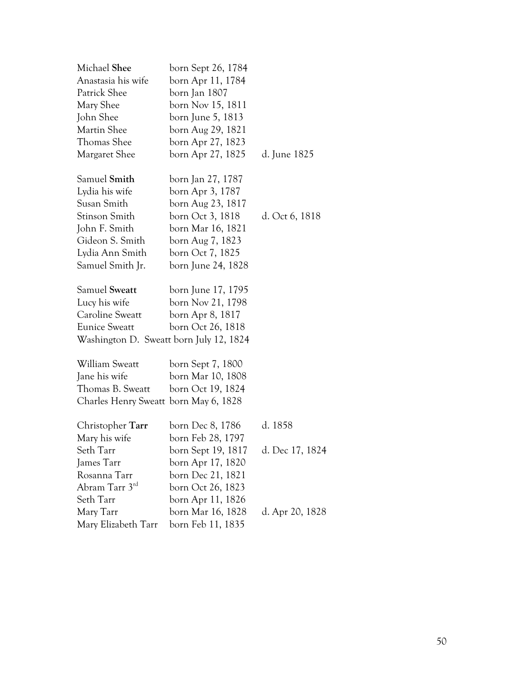| Michael Shee                            | born Sept 26, 1784 |                 |
|-----------------------------------------|--------------------|-----------------|
| Anastasia his wife                      | born Apr 11, 1784  |                 |
| Patrick Shee                            | born Jan 1807      |                 |
| Mary Shee                               | born Nov 15, 1811  |                 |
| John Shee                               | born June 5, 1813  |                 |
| Martin Shee                             | born Aug 29, 1821  |                 |
| Thomas Shee                             | born Apr 27, 1823  |                 |
| Margaret Shee                           | born Apr 27, 1825  | d. June 1825    |
| Samuel Smith                            | born Jan 27, 1787  |                 |
| Lydia his wife                          | born Apr 3, 1787   |                 |
| Susan Smith                             | born Aug 23, 1817  |                 |
| Stinson Smith                           | born Oct 3, 1818   | d. Oct 6, 1818  |
| John F. Smith                           | born Mar 16, 1821  |                 |
| Gideon S. Smith                         | born Aug 7, 1823   |                 |
| Lydia Ann Smith                         | born Oct 7, 1825   |                 |
| Samuel Smith Jr.                        | born June 24, 1828 |                 |
| Samuel Sweatt                           | born June 17, 1795 |                 |
| Lucy his wife                           | born Nov 21, 1798  |                 |
| Caroline Sweatt                         | born Apr 8, 1817   |                 |
| <b>Eunice Sweatt</b>                    | born Oct 26, 1818  |                 |
| Washington D. Sweatt born July 12, 1824 |                    |                 |
| William Sweatt                          | born Sept 7, 1800  |                 |
| Jane his wife                           | born Mar 10, 1808  |                 |
| Thomas B. Sweatt                        | born Oct 19, 1824  |                 |
| Charles Henry Sweatt born May 6, 1828   |                    |                 |
| Christopher Tarr                        | born Dec 8, 1786   | d. 1858         |
| Mary his wife                           | born Feb 28, 1797  |                 |
| Seth Tarr                               | born Sept 19, 1817 | d. Dec 17, 1824 |
| James Tarr                              | born Apr 17, 1820  |                 |
| Rosanna Tarr                            | born Dec 21, 1821  |                 |
| Abram Tarr 3rd                          | born Oct 26, 1823  |                 |
| Seth Tarr                               | born Apr 11, 1826  |                 |
| Mary Tarr                               | born Mar 16, 1828  | d. Apr 20, 1828 |
| Mary Elizabeth Tarr                     | born Feb 11, 1835  |                 |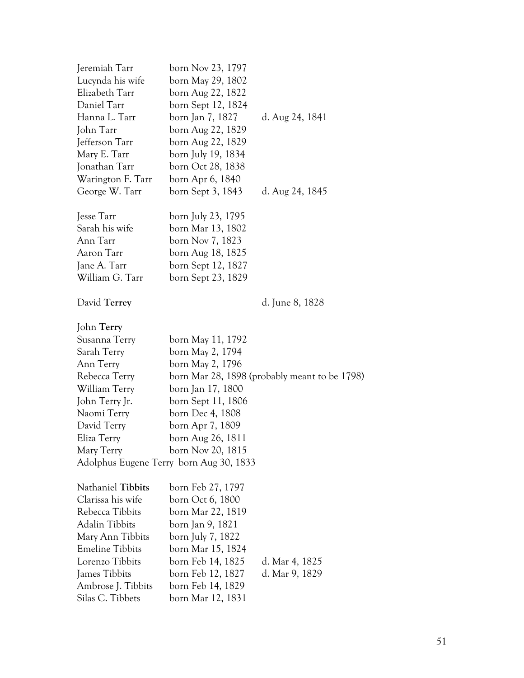| Jeremiah Tarr          | born Nov 23, 1797                       |                                               |
|------------------------|-----------------------------------------|-----------------------------------------------|
| Lucynda his wife       | born May 29, 1802                       |                                               |
| Elizabeth Tarr         | born Aug 22, 1822                       |                                               |
| Daniel Tarr            | born Sept 12, 1824                      |                                               |
| Hanna L. Tarr          | born Jan 7, 1827                        | d. Aug 24, 1841                               |
| John Tarr              | born Aug 22, 1829                       |                                               |
| Jefferson Tarr         | born Aug 22, 1829                       |                                               |
| Mary E. Tarr           | born July 19, 1834                      |                                               |
| Jonathan Tarr          | born Oct 28, 1838                       |                                               |
| Warington F. Tarr      | born Apr 6, 1840                        |                                               |
| George W. Tarr         | born Sept 3, 1843                       | d. Aug 24, 1845                               |
| Jesse Tarr             | born July 23, 1795                      |                                               |
| Sarah his wife         | born Mar 13, 1802                       |                                               |
| Ann Tarr               | born Nov 7, 1823                        |                                               |
| Aaron Tarr             | born Aug 18, 1825                       |                                               |
| Jane A. Tarr           | born Sept 12, 1827                      |                                               |
| William G. Tarr        | born Sept 23, 1829                      |                                               |
| David Terrey           |                                         | d. June 8, 1828                               |
| John Terry             |                                         |                                               |
| Susanna Terry          | born May 11, 1792                       |                                               |
| Sarah Terry            | born May 2, 1794                        |                                               |
| Ann Terry              | born May 2, 1796                        |                                               |
| Rebecca Terry          |                                         | born Mar 28, 1898 (probably meant to be 1798) |
| William Terry          | born Jan 17, 1800                       |                                               |
| John Terry Jr.         | born Sept 11, 1806                      |                                               |
| Naomi Terry            | born Dec 4, 1808                        |                                               |
| David Terry            | born Apr 7, 1809                        |                                               |
| Eliza Terry            | born Aug 26, 1811                       |                                               |
| Mary Terry             | born Nov 20, 1815                       |                                               |
|                        | Adolphus Eugene Terry born Aug 30, 1833 |                                               |
| Nathaniel Tibbits      | born Feb 27, 1797                       |                                               |
| Clarissa his wife      | born Oct 6, 1800                        |                                               |
| Rebecca Tibbits        | born Mar 22, 1819                       |                                               |
| <b>Adalin Tibbits</b>  | born Jan 9, 1821                        |                                               |
| Mary Ann Tibbits       | born July 7, 1822                       |                                               |
| <b>Emeline Tibbits</b> | born Mar 15, 1824                       |                                               |
| Lorenzo Tibbits        | born Feb 14, 1825                       | d. Mar 4, 1825                                |
| James Tibbits          | born Feb 12, 1827                       | d. Mar 9, 1829                                |
| Ambrose J. Tibbits     | born Feb 14, 1829                       |                                               |
| Silas C. Tibbets       | born Mar 12, 1831                       |                                               |
|                        |                                         |                                               |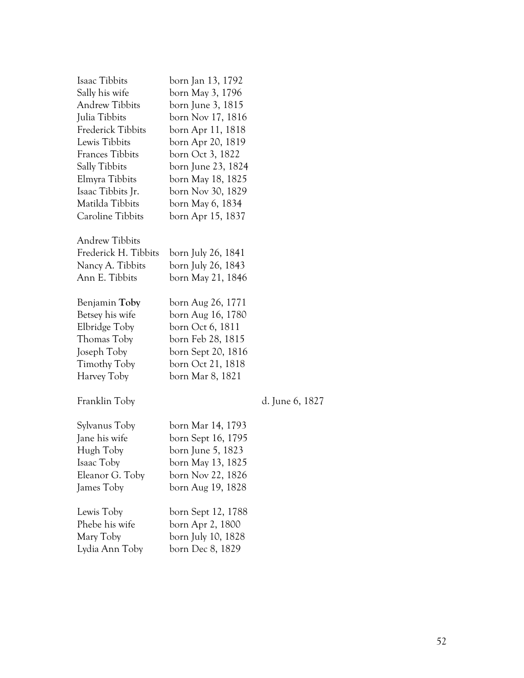| Isaac Tibbits            | born Jan 13, 1792  |                 |
|--------------------------|--------------------|-----------------|
| Sally his wife           | born May 3, 1796   |                 |
| <b>Andrew Tibbits</b>    | born June 3, 1815  |                 |
| Julia Tibbits            | born Nov 17, 1816  |                 |
| <b>Frederick Tibbits</b> | born Apr 11, 1818  |                 |
| Lewis Tibbits            | born Apr 20, 1819  |                 |
| <b>Frances Tibbits</b>   | born Oct 3, 1822   |                 |
| <b>Sally Tibbits</b>     | born June 23, 1824 |                 |
| Elmyra Tibbits           | born May 18, 1825  |                 |
| Isaac Tibbits Jr.        | born Nov 30, 1829  |                 |
| Matilda Tibbits          | born May 6, 1834   |                 |
| Caroline Tibbits         | born Apr 15, 1837  |                 |
| <b>Andrew Tibbits</b>    |                    |                 |
| Frederick H. Tibbits     | born July 26, 1841 |                 |
| Nancy A. Tibbits         | born July 26, 1843 |                 |
| Ann E. Tibbits           | born May 21, 1846  |                 |
| Benjamin Toby            | born Aug 26, 1771  |                 |
| Betsey his wife          | born Aug 16, 1780  |                 |
| Elbridge Toby            | born Oct 6, 1811   |                 |
| Thomas Toby              | born Feb 28, 1815  |                 |
| Joseph Toby              | born Sept 20, 1816 |                 |
| Timothy Toby             | born Oct 21, 1818  |                 |
| Harvey Toby              | born Mar 8, 1821   |                 |
| Franklin Toby            |                    | d. June 6, 1827 |
| Sylvanus Toby            | born Mar 14, 1793  |                 |
| Jane his wife            | born Sept 16, 1795 |                 |
| Hugh Toby                | born June 5, 1823  |                 |
| Isaac Toby               | born May 13, 1825  |                 |
| Eleanor G. Toby          | born Nov 22, 1826  |                 |
| James Toby               | born Aug 19, 1828  |                 |
| Lewis Toby               | born Sept 12, 1788 |                 |
| Phebe his wife           | born Apr 2, 1800   |                 |
| Mary Toby                | born July 10, 1828 |                 |
| Lydia Ann Toby           | born Dec 8, 1829   |                 |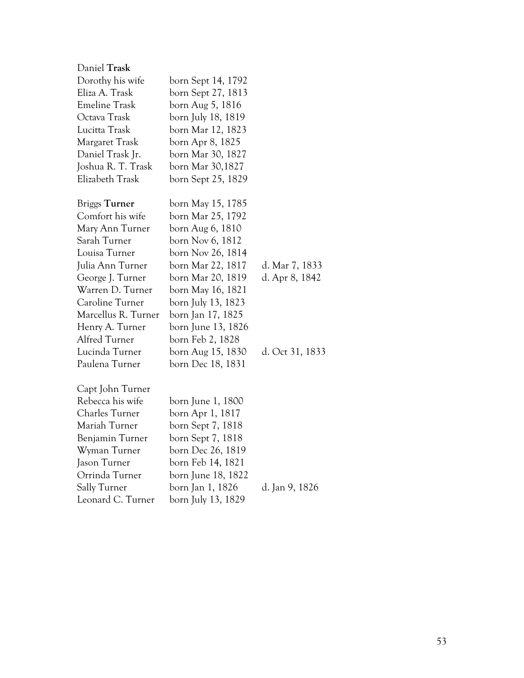| Daniel Trask         |                    |                 |
|----------------------|--------------------|-----------------|
| Dorothy his wife     | born Sept 14, 1792 |                 |
| Eliza A. Trask       | born Sept 27, 1813 |                 |
| <b>Emeline Trask</b> | born Aug 5, 1816   |                 |
| Octava Trask         | born July 18, 1819 |                 |
| Lucitta Trask        | born Mar 12, 1823  |                 |
| Margaret Trask       | born Apr 8, 1825   |                 |
| Daniel Trask Jr.     | born Mar 30, 1827  |                 |
| Joshua R. T. Trask   | born Mar 30,1827   |                 |
| Elizabeth Trask      | born Sept 25, 1829 |                 |
| <b>Briggs Turner</b> | born May 15, 1785  |                 |
| Comfort his wife     | born Mar 25, 1792  |                 |
| Mary Ann Turner      | born Aug 6, 1810   |                 |
| Sarah Turner         | born Nov 6, 1812   |                 |
| Louisa Turner        | born Nov 26, 1814  |                 |
| Julia Ann Turner     | born Mar 22, 1817  | d. Mar 7, 1833  |
| George J. Turner     | born Mar 20, 1819  | d. Apr 8, 1842  |
| Warren D. Turner     | born May 16, 1821  |                 |
| Caroline Turner      | born July 13, 1823 |                 |
| Marcellus R. Turner  | born Jan 17, 1825  |                 |
| Henry A. Turner      | born June 13, 1826 |                 |
| Alfred Turner        | born Feb 2, 1828   |                 |
| Lucinda Turner       | born Aug 15, 1830  | d. Oct 31, 1833 |
| Paulena Turner       | born Dec 18, 1831  |                 |
| Capt John Turner     |                    |                 |
| Rebecca his wife     | born June 1, 1800  |                 |
| Charles Turner       | born Apr 1, 1817   |                 |
| Mariah Turner        | born Sept 7, 1818  |                 |
| Benjamin Turner      | born Sept 7, 1818  |                 |
| Wyman Turner         | born Dec 26, 1819  |                 |
| Jason Turner         | born Feb 14, 1821  |                 |
| Orrinda Turner       | born June 18, 1822 |                 |
| Sally Turner         | born Jan 1, 1826   | d. Jan 9, 1826  |
| Leonard C. Turner    | born July 13, 1829 |                 |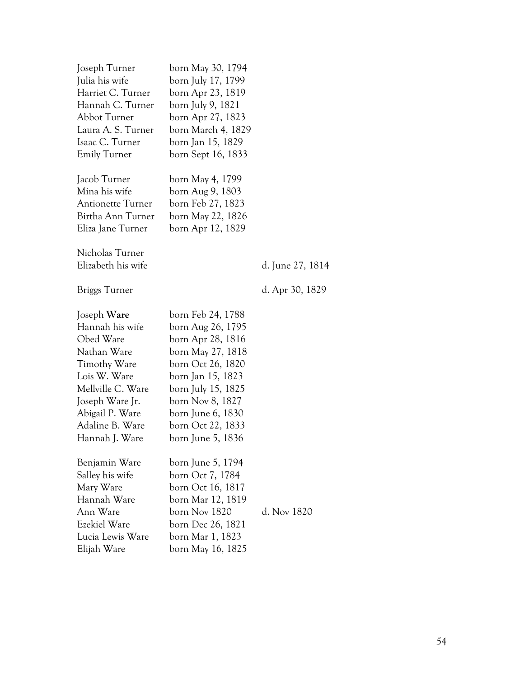| Joseph Turner<br>Julia his wife<br>Harriet C. Turner<br>Hannah C. Turner<br>Abbot Turner<br>Laura A. S. Turner<br>Isaac C. Turner<br><b>Emily Turner</b><br>Jacob Turner                   | born May 30, 1794<br>born July 17, 1799<br>born Apr 23, 1819<br>born July 9, 1821<br>born Apr 27, 1823<br>born March 4, 1829<br>born Jan 15, 1829<br>born Sept 16, 1833<br>born May 4, 1799                                         |                  |
|--------------------------------------------------------------------------------------------------------------------------------------------------------------------------------------------|-------------------------------------------------------------------------------------------------------------------------------------------------------------------------------------------------------------------------------------|------------------|
| Mina his wife<br><b>Antionette Turner</b><br>Birtha Ann Turner<br>Eliza Jane Turner                                                                                                        | born Aug 9, 1803<br>born Feb 27, 1823<br>born May 22, 1826<br>born Apr 12, 1829                                                                                                                                                     |                  |
| Nicholas Turner<br>Elizabeth his wife                                                                                                                                                      |                                                                                                                                                                                                                                     | d. June 27, 1814 |
| <b>Briggs Turner</b>                                                                                                                                                                       |                                                                                                                                                                                                                                     | d. Apr 30, 1829  |
| Joseph Ware<br>Hannah his wife<br>Obed Ware<br>Nathan Ware<br>Timothy Ware<br>Lois W. Ware<br>Mellville C. Ware<br>Joseph Ware Jr.<br>Abigail P. Ware<br>Adaline B. Ware<br>Hannah J. Ware | born Feb 24, 1788<br>born Aug 26, 1795<br>born Apr 28, 1816<br>born May 27, 1818<br>born Oct 26, 1820<br>born Jan 15, 1823<br>born July 15, 1825<br>born Nov 8, 1827<br>born June 6, 1830<br>born Oct 22, 1833<br>born June 5, 1836 |                  |
| Benjamin Ware<br>Salley his wife<br>Mary Ware<br>Hannah Ware<br>Ann Ware<br>Ezekiel Ware<br>Lucia Lewis Ware<br>Elijah Ware                                                                | born June 5, 1794<br>born Oct 7, 1784<br>born Oct 16, 1817<br>born Mar 12, 1819<br>born Nov 1820<br>born Dec 26, 1821<br>born Mar 1, 1823<br>born May 16, 1825                                                                      | d. Nov 1820      |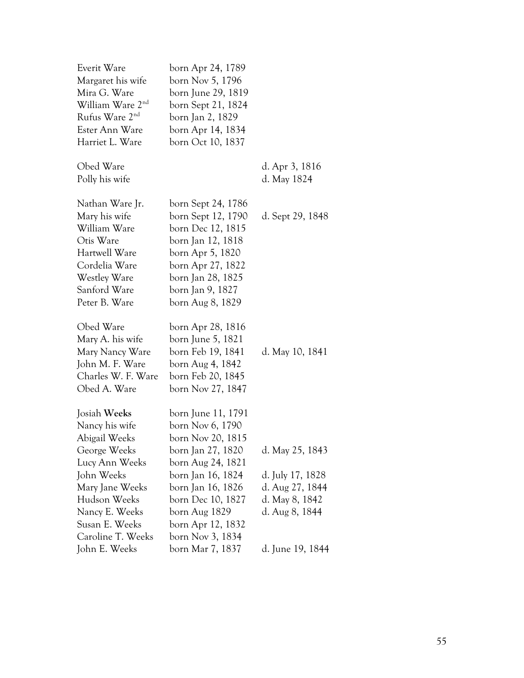| Everit Ware<br>Margaret his wife<br>Mira G. Ware<br>William Ware 2 <sup>nd</sup><br>Rufus Ware 2 <sup>nd</sup><br>Ester Ann Ware                                       | born Apr 24, 1789<br>born Nov 5, 1796<br>born June 29, 1819<br>born Sept 21, 1824<br>born Jan 2, 1829<br>born Apr 14, 1834                                                                                 |                                                                                            |
|------------------------------------------------------------------------------------------------------------------------------------------------------------------------|------------------------------------------------------------------------------------------------------------------------------------------------------------------------------------------------------------|--------------------------------------------------------------------------------------------|
| Harriet L. Ware                                                                                                                                                        | born Oct 10, 1837                                                                                                                                                                                          |                                                                                            |
| Obed Ware<br>Polly his wife                                                                                                                                            |                                                                                                                                                                                                            | d. Apr 3, 1816<br>d. May 1824                                                              |
| Nathan Ware Jr.<br>Mary his wife<br>William Ware<br>Otis Ware<br>Hartwell Ware<br>Cordelia Ware<br><b>Westley Ware</b><br>Sanford Ware<br>Peter B. Ware                | born Sept 24, 1786<br>born Sept 12, 1790<br>born Dec 12, 1815<br>born Jan 12, 1818<br>born Apr 5, 1820<br>born Apr 27, 1822<br>born Jan 28, 1825<br>born Jan 9, 1827<br>born Aug 8, 1829                   | d. Sept 29, 1848                                                                           |
| Obed Ware<br>Mary A. his wife<br>Mary Nancy Ware<br>John M. F. Ware<br>Charles W. F. Ware<br>Obed A. Ware                                                              | born Apr 28, 1816<br>born June 5, 1821<br>born Feb 19, 1841<br>born Aug 4, 1842<br>born Feb 20, 1845<br>born Nov 27, 1847                                                                                  | d. May 10, 1841                                                                            |
| Josiah Weeks<br>Nancy his wife<br>Abigail Weeks<br>George Weeks<br>Lucy Ann Weeks<br>John Weeks<br>Mary Jane Weeks<br>Hudson Weeks<br>Nancy E. Weeks<br>Susan E. Weeks | born June 11, 1791<br>born Nov 6, 1790<br>born Nov 20, 1815<br>born Jan 27, 1820<br>born Aug 24, 1821<br>born Jan 16, 1824<br>born Jan 16, 1826<br>born Dec 10, 1827<br>born Aug 1829<br>born Apr 12, 1832 | d. May 25, 1843<br>d. July 17, 1828<br>d. Aug 27, 1844<br>d. May 8, 1842<br>d. Aug 8, 1844 |
| Caroline T. Weeks<br>John E. Weeks                                                                                                                                     | born Nov 3, 1834<br>born Mar 7, 1837                                                                                                                                                                       | d. June 19, 1844                                                                           |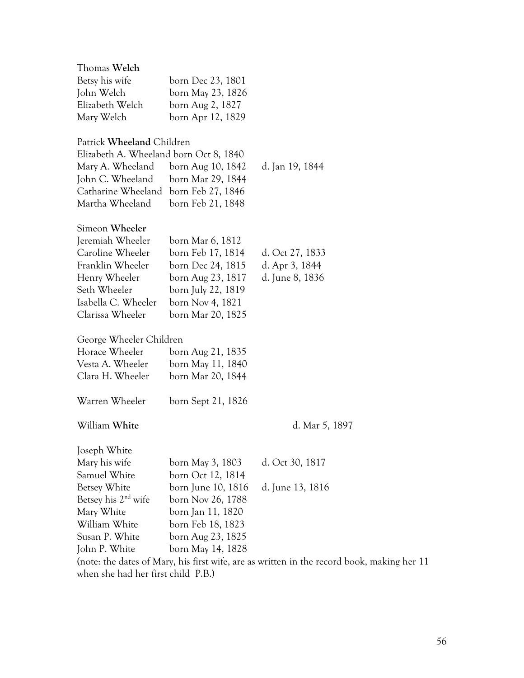| Thomas Welch                           |                    |                                                                                            |
|----------------------------------------|--------------------|--------------------------------------------------------------------------------------------|
| Betsy his wife                         | born Dec 23, 1801  |                                                                                            |
| John Welch                             | born May 23, 1826  |                                                                                            |
| Elizabeth Welch                        | born Aug 2, 1827   |                                                                                            |
| Mary Welch                             | born Apr 12, 1829  |                                                                                            |
| Patrick Wheeland Children              |                    |                                                                                            |
| Elizabeth A. Wheeland born Oct 8, 1840 |                    |                                                                                            |
| Mary A. Wheeland                       | born Aug 10, 1842  | d. Jan 19, 1844                                                                            |
| John C. Wheeland                       | born Mar 29, 1844  |                                                                                            |
| Catharine Wheeland                     | born Feb 27, 1846  |                                                                                            |
| Martha Wheeland                        | born Feb 21, 1848  |                                                                                            |
| Simeon Wheeler                         |                    |                                                                                            |
| Jeremiah Wheeler                       |                    |                                                                                            |
| Caroline Wheeler                       | born Mar 6, 1812   |                                                                                            |
|                                        | born Feb 17, 1814  | d. Oct 27, 1833                                                                            |
| Franklin Wheeler                       | born Dec 24, 1815  | d. Apr 3, 1844                                                                             |
| Henry Wheeler                          | born Aug 23, 1817  | d. June 8, 1836                                                                            |
| Seth Wheeler                           | born July 22, 1819 |                                                                                            |
| Isabella C. Wheeler                    | born Nov 4, 1821   |                                                                                            |
| Clarissa Wheeler                       | born Mar 20, 1825  |                                                                                            |
| George Wheeler Children                |                    |                                                                                            |
| Horace Wheeler                         | born Aug 21, 1835  |                                                                                            |
| Vesta A. Wheeler                       | born May 11, 1840  |                                                                                            |
| Clara H. Wheeler                       | born Mar 20, 1844  |                                                                                            |
| Warren Wheeler                         | born Sept 21, 1826 |                                                                                            |
| William White                          |                    | d. Mar 5, 1897                                                                             |
|                                        |                    |                                                                                            |
| Joseph White                           |                    |                                                                                            |
| Mary his wife                          | born May 3, 1803   | d. Oct 30, 1817                                                                            |
| Samuel White                           | born Oct 12, 1814  |                                                                                            |
| Betsey White                           | born June 10, 1816 | d. June 13, 1816                                                                           |
| Betsey his $2nd$ wife                  | born Nov 26, 1788  |                                                                                            |
| Mary White                             | born Jan 11, 1820  |                                                                                            |
| William White                          | born Feb 18, 1823  |                                                                                            |
| Susan P. White                         | born Aug 23, 1825  |                                                                                            |
| John P. White                          | born May 14, 1828  |                                                                                            |
|                                        |                    | (note: the dates of Mary, his first wife, are as written in the record book, making her 11 |
| when she had her first child P.B.)     |                    |                                                                                            |